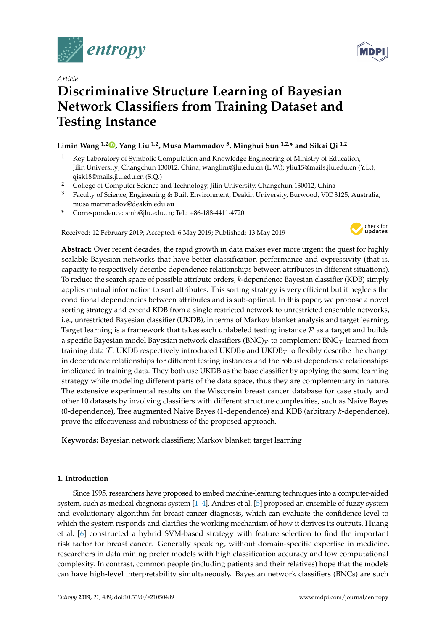

*Article*

# **Discriminative Structure Learning of Bayesian Network Classifiers from Training Dataset and Testing Instance**

# **Limin Wang 1,2 [,](https://orcid.org/0000-0003-2459-3907) Yang Liu 1,2, Musa Mammadov <sup>3</sup> , Minghui Sun 1,2,\* and Sikai Qi 1,2**

- <sup>1</sup> Key Laboratory of Symbolic Computation and Knowledge Engineering of Ministry of Education, Jilin University, Changchun 130012, China; wanglim@jlu.edu.cn (L.W.); yliu15@mails.jlu.edu.cn (Y.L.); qisk18@mails.jlu.edu.cn (S.Q.)
- <sup>2</sup> College of Computer Science and Technology, Jilin University, Changchun 130012, China
- <sup>3</sup> Faculty of Science, Engineering & Built Environment, Deakin University, Burwood, VIC 3125, Australia; musa.mammadov@deakin.edu.au
- **\*** Correspondence: smh@jlu.edu.cn; Tel.: +86-188-4411-4720

Received: 12 February 2019; Accepted: 6 May 2019; Published: 13 May 2019



**Abstract:** Over recent decades, the rapid growth in data makes ever more urgent the quest for highly scalable Bayesian networks that have better classification performance and expressivity (that is, capacity to respectively describe dependence relationships between attributes in different situations). To reduce the search space of possible attribute orders, *k*-dependence Bayesian classifier (KDB) simply applies mutual information to sort attributes. This sorting strategy is very efficient but it neglects the conditional dependencies between attributes and is sub-optimal. In this paper, we propose a novel sorting strategy and extend KDB from a single restricted network to unrestricted ensemble networks, i.e., unrestricted Bayesian classifier (UKDB), in terms of Markov blanket analysis and target learning. Target learning is a framework that takes each unlabeled testing instance  $P$  as a target and builds a specific Bayesian model Bayesian network classifiers (BNC) $_{\mathcal{P}}$  to complement BNC $_{\mathcal{T}}$  learned from training data  $\mathcal T$ . UKDB respectively introduced UKDB<sub>*P*</sub> and UKDB<sub>*T*</sub> to flexibly describe the change in dependence relationships for different testing instances and the robust dependence relationships implicated in training data. They both use UKDB as the base classifier by applying the same learning strategy while modeling different parts of the data space, thus they are complementary in nature. The extensive experimental results on the Wisconsin breast cancer database for case study and other 10 datasets by involving classifiers with different structure complexities, such as Naive Bayes (0-dependence), Tree augmented Naive Bayes (1-dependence) and KDB (arbitrary *k*-dependence), prove the effectiveness and robustness of the proposed approach.

**Keywords:** Bayesian network classifiers; Markov blanket; target learning

# **1. Introduction**

Since 1995, researchers have proposed to embed machine-learning techniques into a computer-aided system, such as medical diagnosis system [\[1–](#page-23-0)[4\]](#page-23-1). Andres et al. [\[5\]](#page-23-2) proposed an ensemble of fuzzy system and evolutionary algorithm for breast cancer diagnosis, which can evaluate the confidence level to which the system responds and clarifies the working mechanism of how it derives its outputs. Huang et al. [\[6\]](#page-24-0) constructed a hybrid SVM-based strategy with feature selection to find the important risk factor for breast cancer. Generally speaking, without domain-specific expertise in medicine, researchers in data mining prefer models with high classification accuracy and low computational complexity. In contrast, common people (including patients and their relatives) hope that the models can have high-level interpretability simultaneously. Bayesian network classifiers (BNCs) are such

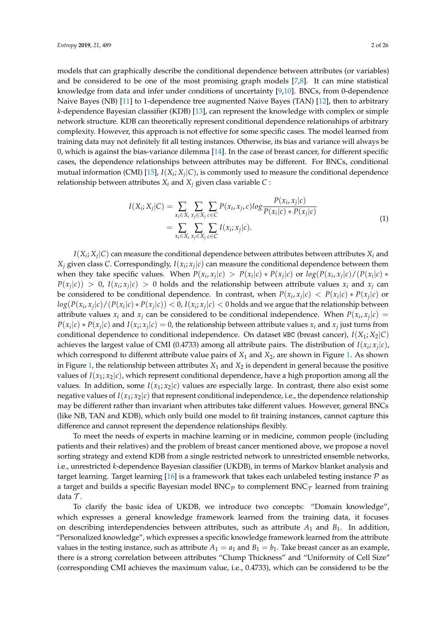models that can graphically describe the conditional dependence between attributes (or variables) and be considered to be one of the most promising graph models  $[7,8]$  $[7,8]$ . It can mine statistical knowledge from data and infer under conditions of uncertainty [\[9](#page-24-3)[,10\]](#page-24-4). BNCs, from 0-dependence Naive Bayes (NB) [\[11\]](#page-24-5) to 1-dependence tree augmented Naive Bayes (TAN) [\[12\]](#page-24-6), then to arbitrary *k*-dependence Bayesian classifier (KDB) [\[13\]](#page-24-7), can represent the knowledge with complex or simple network structure. KDB can theoretically represent conditional dependence relationships of arbitrary complexity. However, this approach is not effective for some specific cases. The model learned from training data may not definitely fit all testing instances. Otherwise, its bias and variance will always be 0, which is against the bias-variance dilemma [\[14\]](#page-24-8). In the case of breast cancer, for different specific cases, the dependence relationships between attributes may be different. For BNCs, conditional mutual information (CMI) [\[15\]](#page-24-9),  $I(X_i; X_j | C)$ , is commonly used to measure the conditional dependence relationship between attributes  $X_i$  and  $X_j$  given class variable  $C$ :

$$
I(X_i; X_j | C) = \sum_{x_i \in X_i} \sum_{x_j \in X_j} \sum_{c \in C} P(x_i, x_j, c) \log \frac{P(x_i, x_j | c)}{P(x_i | c) * P(x_j | c)}
$$
  
= 
$$
\sum_{x_i \in X_i} \sum_{x_j \in X_j} \sum_{c \in C} I(x_i; x_j | c).
$$
 (1)

<span id="page-1-0"></span> $I(X_i; X_j | C)$  can measure the conditional dependence between attributes between attributes  $X_i$  and  $X_j$  given class *C*. Correspondingly,  $I(x_i; x_j | c)$  can measure the conditional dependence between them when they take specific values. When  $P(x_i, x_j | c) > P(x_i | c) * P(x_j | c)$  or  $log(P(x_i, x_j | c) / (P(x_i | c) * p(c_i | c))$  $P(x_j|c)$ ) > 0,  $I(x_i; x_j|c)$  > 0 holds and the relationship between attribute values  $x_i$  and  $x_j$  can be considered to be conditional dependence. In contrast, when  $P(x_i, x_j | c) < P(x_i | c) * P(x_j | c)$  or  $log(P(x_i,x_j|c)/(P(x_i|c)*P(x_j|c)) < 0$ ,  $I(x_i,x_j|c) < 0$  holds and we argue that the relationship between attribute values  $x_i$  and  $x_j$  can be considered to be conditional independence. When  $P(x_i, x_j | c)$  =  $P(x_i|c) * P(x_j|c)$  and  $I(x_i; x_j|c) = 0$ , the relationship between attribute values  $x_i$  and  $x_j$  just turns from conditional dependence to conditional independence. On dataset WBC (breast cancer), *I*(*X*1; *X*2|*C*) achieves the largest value of CMI (0.4733) among all attribute pairs. The distribution of  $I(x_i; x_j | c)$ , which correspond to different attribute value pairs of *X*<sup>1</sup> and *X*2, are shown in Figure [1.](#page-2-0) As shown in Figure [1,](#page-2-0) the relationship between attributes  $X_1$  and  $X_2$  is dependent in general because the positive values of  $I(x_1; x_2|c)$ , which represent conditional dependence, have a high proportion among all the values. In addition, some  $I(x_1; x_2|c)$  values are especially large. In contrast, there also exist some negative values of  $I(x_1; x_2|c)$  that represent conditional independence, i.e., the dependence relationship may be different rather than invariant when attributes take different values. However, general BNCs (like NB, TAN and KDB), which only build one model to fit training instances, cannot capture this difference and cannot represent the dependence relationships flexibly.

To meet the needs of experts in machine learning or in medicine, common people (including patients and their relatives) and the problem of breast cancer mentioned above, we propose a novel sorting strategy and extend KDB from a single restricted network to unrestricted ensemble networks, i.e., unrestricted *k*-dependence Bayesian classifier (UKDB), in terms of Markov blanket analysis and target learning. Target learning [\[16\]](#page-24-10) is a framework that takes each unlabeled testing instance  $\mathcal P$  as a target and builds a specific Bayesian model  $BNC_{\mathcal{P}}$  to complement  $BNC_{\mathcal{T}}$  learned from training data  $\mathcal{T}$ .

To clarify the basic idea of UKDB, we introduce two concepts: "Domain knowledge", which expresses a general knowledge framework learned from the training data, it focuses on describing interdependencies between attributes, such as attribute  $A_1$  and  $B_1$ . In addition, "Personalized knowledge", which expresses a specific knowledge framework learned from the attribute values in the testing instance, such as attribute  $A_1 = a_1$  and  $B_1 = b_1$ . Take breast cancer as an example, there is a strong correlation between attributes "Clump Thickness" and "Uniformity of Cell Size" (corresponding CMI achieves the maximum value, i.e., 0.4733), which can be considered to be the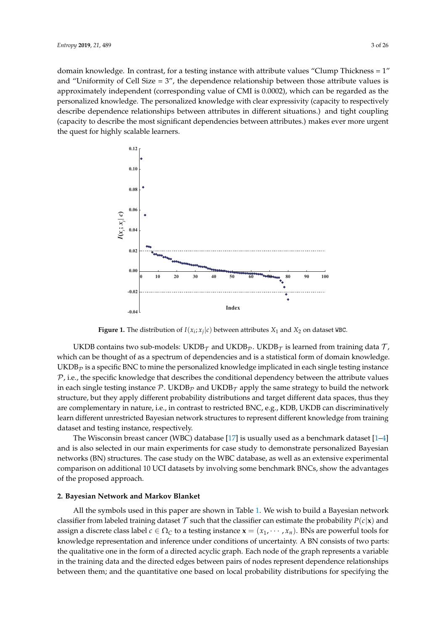domain knowledge. In contrast, for a testing instance with attribute values "Clump Thickness = 1" and "Uniformity of Cell Size  $= 3$ ", the dependence relationship between those attribute values is approximately independent (corresponding value of CMI is 0.0002), which can be regarded as the personalized knowledge. The personalized knowledge with clear expressivity (capacity to respectively describe dependence relationships between attributes in different situations.) and tight coupling (capacity to describe the most significant dependencies between attributes.) makes ever more urgent the quest for highly scalable learners.

<span id="page-2-0"></span>

**Figure 1.** The distribution of  $I(x_i; x_j | c)$  between attributes  $X_1$  and  $X_2$  on dataset WBC.

UKDB contains two sub-models: UKDB $_{\mathcal{T}}$  and UKDB $_{\mathcal{P}}$ . UKDB $_{\mathcal{T}}$  is learned from training data  $\mathcal{T}$ , which can be thought of as a spectrum of dependencies and is a statistical form of domain knowledge.  $\rm UKDB_{\mathcal{P}}$  is a specific BNC to mine the personalized knowledge implicated in each single testing instance  $P$ , i.e., the specific knowledge that describes the conditional dependency between the attribute values in each single testing instance P. UKDB<sub>P</sub> and UKDB<sub>T</sub> apply the same strategy to build the network structure, but they apply different probability distributions and target different data spaces, thus they are complementary in nature, i.e., in contrast to restricted BNC, e.g., KDB, UKDB can discriminatively learn different unrestricted Bayesian network structures to represent different knowledge from training dataset and testing instance, respectively.

The Wisconsin breast cancer (WBC) database [\[17\]](#page-24-11) is usually used as a benchmark dataset [\[1](#page-23-0)[–4\]](#page-23-1) and is also selected in our main experiments for case study to demonstrate personalized Bayesian networks (BN) structures. The case study on the WBC database, as well as an extensive experimental comparison on additional 10 UCI datasets by involving some benchmark BNCs, show the advantages of the proposed approach.

# **2. Bayesian Network and Markov Blanket**

All the symbols used in this paper are shown in Table [1.](#page-3-0) We wish to build a Bayesian network classifier from labeled training dataset  $\mathcal T$  such that the classifier can estimate the probability  $P(c|\mathbf x)$  and assign a discrete class label  $c \in \Omega_C$  to a testing instance  $\mathbf{x} = (x_1, \dots, x_n)$ . BNs are powerful tools for knowledge representation and inference under conditions of uncertainty. A BN consists of two parts: the qualitative one in the form of a directed acyclic graph. Each node of the graph represents a variable in the training data and the directed edges between pairs of nodes represent dependence relationships between them; and the quantitative one based on local probability distributions for specifying the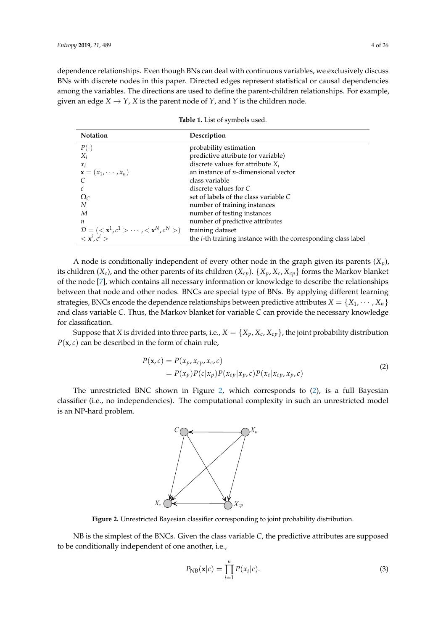dependence relationships. Even though BNs can deal with continuous variables, we exclusively discuss BNs with discrete nodes in this paper. Directed edges represent statistical or causal dependencies among the variables. The directions are used to define the parent-children relationships. For example, given an edge  $X \to Y$ ,  $X$  is the parent node of  $Y$ , and  $Y$  is the children node.

<span id="page-3-0"></span>

| <b>Notation</b>                                                                         | Description                                                           |
|-----------------------------------------------------------------------------------------|-----------------------------------------------------------------------|
| $P(\cdot)$                                                                              | probability estimation                                                |
| $X_i$                                                                                   | predictive attribute (or variable)                                    |
| $x_i$                                                                                   | discrete values for attribute $X_i$                                   |
| $\mathbf{x} = (x_1, \cdots, x_n)$                                                       | an instance of $n$ -dimensional vector                                |
|                                                                                         | class variable                                                        |
|                                                                                         | discrete values for C                                                 |
| $\Omega_{\rm C}$                                                                        | set of labels of the class variable C                                 |
| N                                                                                       | number of training instances                                          |
| M                                                                                       | number of testing instances                                           |
| п                                                                                       | number of predictive attributes                                       |
| $\mathcal{D} = \left( \langle x^1, c^1 \rangle \cdots \langle x^N, c^N \rangle \right)$ | training dataset                                                      |
| $\langle \mathbf{x}^i, c^i \rangle$                                                     | the <i>i</i> -th training instance with the corresponding class label |

| Table 1. List of symbols used. |  |  |  |  |
|--------------------------------|--|--|--|--|
|--------------------------------|--|--|--|--|

A node is conditionally independent of every other node in the graph given its parents (*Xp*), its children  $(X_c)$ , and the other parents of its children  $(X_{cp})$ .  $\{X_p, X_c, X_{cp}\}$  forms the Markov blanket of the node [\[7\]](#page-24-1), which contains all necessary information or knowledge to describe the relationships between that node and other nodes. BNCs are special type of BNs. By applying different learning strategies, BNCs encode the dependence relationships between predictive attributes  $X = \{X_1, \dots, X_n\}$ and class variable *C*. Thus, the Markov blanket for variable *C* can provide the necessary knowledge for classification.

Suppose that *X* is divided into three parts, i.e.,  $X = \{X_p, X_c, X_{cp}\}$ , the joint probability distribution  $P(x, c)$  can be described in the form of chain rule,

$$
P(\mathbf{x}, c) = P(x_p, x_{cp}, x_c, c)
$$
  
=  $P(x_p)P(c|x_p)P(x_{cp}|x_p, c)P(x_c|x_{cp}, x_p, c)$  (2)

<span id="page-3-2"></span><span id="page-3-1"></span>The unrestricted BNC shown in Figure [2,](#page-3-1) which corresponds to [\(2\)](#page-3-2), is a full Bayesian classifier (i.e., no independencies). The computational complexity in such an unrestricted model is an NP-hard problem.



**Figure 2.** Unrestricted Bayesian classifier corresponding to joint probability distribution.

NB is the simplest of the BNCs. Given the class variable *C*, the predictive attributes are supposed to be conditionally independent of one another, i.e.,

$$
P_{\text{NB}}(\mathbf{x}|c) = \prod_{i=1}^{n} P(x_i|c). \tag{3}
$$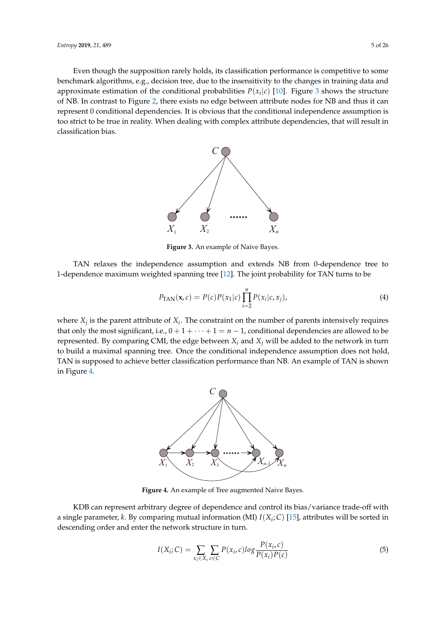<span id="page-4-0"></span>Even though the supposition rarely holds, its classification performance is competitive to some benchmark algorithms, e.g., decision tree, due to the insensitivity to the changes in training data and approximate estimation of the conditional probabilities  $P(x_i|c)$  [\[10\]](#page-24-4). Figure [3](#page-4-0) shows the structure of NB. In contrast to Figure [2,](#page-3-1) there exists no edge between attribute nodes for NB and thus it can represent 0 conditional dependencies. It is obvious that the conditional independence assumption is too strict to be true in reality. When dealing with complex attribute dependencies, that will result in classification bias.



**Figure 3.** An example of Naive Bayes.

TAN relaxes the independence assumption and extends NB from 0-dependence tree to 1-dependence maximum weighted spanning tree [\[12\]](#page-24-6). The joint probability for TAN turns to be

$$
P_{\text{TAN}}(\mathbf{x}, c) = P(c)P(x_1|c)\prod_{i=2}^{n} P(x_i|c, x_j),
$$
\n(4)

<span id="page-4-1"></span>where  $X_j$  is the parent attribute of  $X_i$ . The constraint on the number of parents intensively requires that only the most significant, i.e.,  $0 + 1 + \cdots + 1 = n - 1$ , conditional dependencies are allowed to be represented. By comparing CMI, the edge between  $X_i$  and  $X_j$  will be added to the network in turn to build a maximal spanning tree. Once the conditional independence assumption does not hold, TAN is supposed to achieve better classification performance than NB. An example of TAN is shown in Figure [4.](#page-4-1)



**Figure 4.** An example of Tree augmented Naive Bayes.

KDB can represent arbitrary degree of dependence and control its bias/variance trade-off with a single parameter, *k*. By comparing mutual information (MI) *I*(*X<sup>i</sup>* ; *C*) [\[15\]](#page-24-9), attributes will be sorted in descending order and enter the network structure in turn.

<span id="page-4-2"></span>
$$
I(X_i; C) = \sum_{x_i \in X_i} \sum_{c \in C} P(x_i, c) \log \frac{P(x_i, c)}{P(x_i)P(c)}
$$
(5)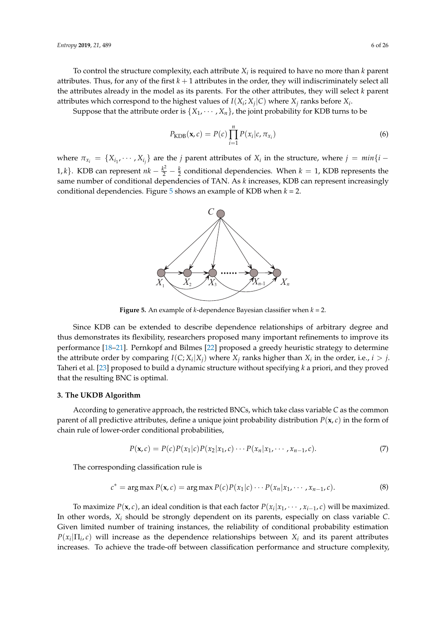To control the structure complexity, each attribute *X<sup>i</sup>* is required to have no more than *k* parent attributes. Thus, for any of the first *k* + 1 attributes in the order, they will indiscriminately select all the attributes already in the model as its parents. For the other attributes, they will select *k* parent attributes which correspond to the highest values of  $I(X_i; X_j | C)$  where  $X_j$  ranks before  $X_i$ .

Suppose that the attribute order is  $\{X_1, \dots, X_n\}$ , the joint probability for KDB turns to be

$$
P_{\text{KDB}}(\mathbf{x}, c) = P(c) \prod_{i=1}^{n} P(x_i | c, \pi_{x_i})
$$
\n(6)

<span id="page-5-0"></span>where  $\pi_{x_i} = \{X_{i_1}, \dots, X_{i_j}\}$  are the *j* parent attributes of  $X_i$  in the structure, where  $j = min\{i - j\}$ 1, *k*}. KDB can represent  $nk - \frac{k^2}{2} - \frac{k}{2}$  conditional dependencies. When  $k = 1$ , KDB represents the same number of conditional dependencies of TAN. As *k* increases, KDB can represent increasingly conditional dependencies. Figure [5](#page-5-0) shows an example of KDB when *k* = 2.



**Figure 5.** An example of *k*-dependence Bayesian classifier when *k* = 2.

Since KDB can be extended to describe dependence relationships of arbitrary degree and thus demonstrates its flexibility, researchers proposed many important refinements to improve its performance [\[18–](#page-24-12)[21\]](#page-24-13). Pernkopf and Bilmes [\[22\]](#page-24-14) proposed a greedy heuristic strategy to determine the attribute order by comparing  $I(C; X_i | X_j)$  where  $X_j$  ranks higher than  $X_i$  in the order, i.e.,  $i > j$ . Taheri et al. [\[23\]](#page-24-15) proposed to build a dynamic structure without specifying *k* a priori, and they proved that the resulting BNC is optimal.

# **3. The UKDB Algorithm**

According to generative approach, the restricted BNCs, which take class variable *C* as the common parent of all predictive attributes, define a unique joint probability distribution *P*(**x**, *c*) in the form of chain rule of lower-order conditional probabilities,

<span id="page-5-2"></span>
$$
P(\mathbf{x}, c) = P(c)P(x_1|c)P(x_2|x_1, c)\cdots P(x_n|x_1, \cdots, x_{n-1}, c).
$$
\n<sup>(7)</sup>

<span id="page-5-1"></span>The corresponding classification rule is

$$
c^* = \arg \max P(\mathbf{x}, c) = \arg \max P(c) P(x_1|c) \cdots P(x_n|x_1, \cdots, x_{n-1}, c).
$$
 (8)

To maximize  $P(\mathbf{x}, c)$ , an ideal condition is that each factor  $P(x_i|x_1, \dots, x_{i-1}, c)$  will be maximized. In other words, *X<sup>i</sup>* should be strongly dependent on its parents, especially on class variable *C*. Given limited number of training instances, the reliability of conditional probability estimation  $P(x_i | \Pi_i, c)$  will increase as the dependence relationships between  $X_i$  and its parent attributes increases. To achieve the trade-off between classification performance and structure complexity,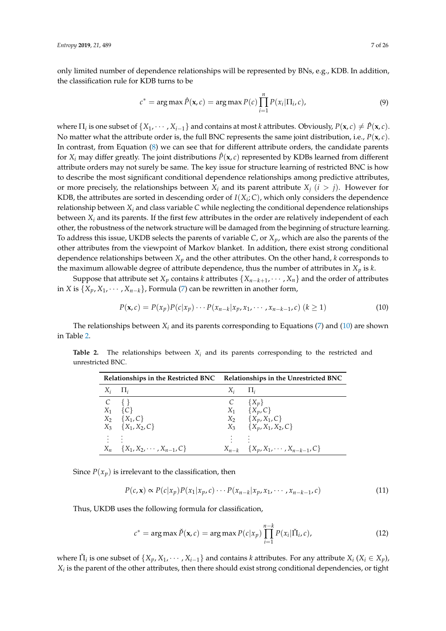only limited number of dependence relationships will be represented by BNs, e.g., KDB. In addition, the classification rule for KDB turns to be

$$
c^* = \arg \max \hat{P}(\mathbf{x}, c) = \arg \max P(c) \prod_{i=1}^n P(x_i | \Pi_i, c), \tag{9}
$$

where  $\Pi_i$  is one subset of  $\{X_1, \cdots, X_{i-1}\}$  and contains at most *k* attributes. Obviously,  $P(\mathbf{x}, c) \neq \hat{P}(\mathbf{x}, c)$ . No matter what the attribute order is, the full BNC represents the same joint distribution, i.e., *P*(**x**, *c*). In contrast, from Equation [\(8\)](#page-5-1) we can see that for different attribute orders, the candidate parents for  $X_i$  may differ greatly. The joint distributions  $\hat{P}(\mathbf{x}, c)$  represented by KDBs learned from different attribute orders may not surely be same. The key issue for structure learning of restricted BNC is how to describe the most significant conditional dependence relationships among predictive attributes, or more precisely, the relationships between  $X_i$  and its parent attribute  $X_i$  ( $i > j$ ). However for KDB, the attributes are sorted in descending order of  $I(X_i; C)$ , which only considers the dependence relationship between  $X_i$  and class variable  $C$  while neglecting the conditional dependence relationships between  $X_i$  and its parents. If the first few attributes in the order are relatively independent of each other, the robustness of the network structure will be damaged from the beginning of structure learning. To address this issue, UKDB selects the parents of variable *C*, or *Xp*, which are also the parents of the other attributes from the viewpoint of Markov blanket. In addition, there exist strong conditional dependence relationships between *X<sup>p</sup>* and the other attributes. On the other hand, *k* corresponds to the maximum allowable degree of attribute dependence, thus the number of attributes in  $X_p$  is  $k$ .

Suppose that attribute set  $X_p$  contains  $k$  attributes  $\{X_{n-k+1}, \cdots, X_n\}$  and the order of attributes in *X* is  $\{X_p, X_1, \cdots, X_{n-k}\}$ , Formula [\(7\)](#page-5-2) can be rewritten in another form,

<span id="page-6-0"></span>
$$
P(\mathbf{x}, c) = P(x_p)P(c|x_p) \cdots P(x_{n-k}|x_p, x_1, \cdots, x_{n-k-1}, c) \ (k \ge 1)
$$
 (10)

The relationships between  $X_i$  and its parents corresponding to Equations [\(7\)](#page-5-2) and [\(10\)](#page-6-0) are shown in Table [2.](#page-6-1)

|       | Relationships in the Restricted BNC Relationships in the Unrestricted BNC |                 |                                                |
|-------|---------------------------------------------------------------------------|-----------------|------------------------------------------------|
|       | $X_i$ $\prod_i$                                                           | $X_i$ $\prod_i$ |                                                |
|       | $C \{ \}$                                                                 |                 | $C \{X_p\}$                                    |
| $X_1$ | $\{C\}$                                                                   |                 | $X_1 \qquad \{X_p, C\}$                        |
|       | $X_2 \{X_1, C\}$                                                          |                 | $X_2 \{X_p, X_1, C\}$                          |
|       | $X_3$ { $X_1, X_2, C$ }                                                   |                 | $X_3$ { $X_p$ , $X_1$ , $X_2$ , $C$ }          |
|       |                                                                           |                 |                                                |
|       | $X_n \{X_1, X_2, \cdots, X_{n-1}, C\}$                                    |                 | $X_{n-k}$ { $X_p, X_1, \cdots, X_{n-k-1}, C$ } |

<span id="page-6-1"></span>**Table 2.** The relationships between *X<sup>i</sup>* and its parents corresponding to the restricted and unrestricted BNC.

Since  $P(x_p)$  is irrelevant to the classification, then

$$
P(c, \mathbf{x}) \propto P(c|x_p)P(x_1|x_p, c) \cdots P(x_{n-k}|x_p, x_1, \cdots, x_{n-k-1}, c)
$$
\n
$$
(11)
$$

Thus, UKDB uses the following formula for classification,

$$
c^* = \arg \max \check{P}(\mathbf{x}, c) = \arg \max P(c|x_p) \prod_{i=1}^{n-k} P(x_i | \check{\Pi}_i, c), \tag{12}
$$

where  $\check{\Pi}_i$  is one subset of  $\{X_p, X_1, \cdots, X_{i-1}\}$  and contains *k* attributes. For any attribute  $X_i$  ( $X_i \in X_p$ ),  $X_i$  is the parent of the other attributes, then there should exist strong conditional dependencies, or tight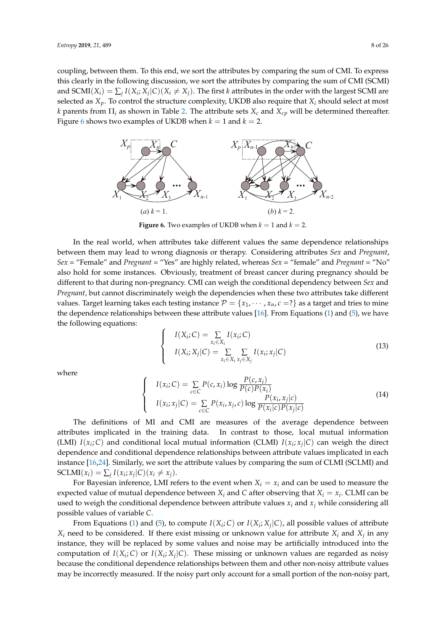coupling, between them. To this end, we sort the attributes by comparing the sum of CMI. To express this clearly in the following discussion, we sort the attributes by comparing the sum of CMI (SCMI) and  $SCMI(X_i) = \sum_j I(X_i; X_j | C)(X_i \neq X_j)$ . The first *k* attributes in the order with the largest SCMI are selected as  $X_p$ . To control the structure complexity, UKDB also require that  $X_i$  should select at most *k* parents from  $\Pi_i$  as shown in Table [2.](#page-6-1) The attribute sets  $X_c$  and  $X_{cp}$  will be determined thereafter. Figure [6](#page-7-0) shows two examples of UKDB when  $k = 1$  and  $k = 2$ .

<span id="page-7-0"></span>

**Figure 6.** Two examples of UKDB when  $k = 1$  and  $k = 2$ .

In the real world, when attributes take different values the same dependence relationships between them may lead to wrong diagnosis or therapy. Considering attributes *Sex* and *Pregnant*, *Sex* = "Female" and *Pregnant* = "Yes" are highly related, whereas *Sex* = "female" and *Pregnant* = "No" also hold for some instances. Obviously, treatment of breast cancer during pregnancy should be different to that during non-pregnancy. CMI can weigh the conditional dependency between *Sex* and *Pregnant*, but cannot discriminately weigh the dependencies when these two attributes take different values. Target learning takes each testing instance  $P = \{x_1, \dots, x_n, c = ?\}$  as a target and tries to mine the dependence relationships between these attribute values [\[16\]](#page-24-10). From Equations [\(1\)](#page-1-0) and [\(5\)](#page-4-2), we have the following equations:

$$
\begin{cases}\nI(X_i; C) = \sum_{x_i \in X_i} I(x_i; C) \\
I(X_i; X_j | C) = \sum_{x_i \in X_i} \sum_{x_j \in X_j} I(x_i; x_j | C)\n\end{cases}
$$
\n(13)

where

<span id="page-7-1"></span>
$$
\begin{cases}\nI(x_i; C) = \sum_{c \in C} P(c, x_i) \log \frac{P(c, x_i)}{P(c)P(x_i)} \\
I(x_i; x_j | C) = \sum_{c \in C} P(x_i, x_j, c) \log \frac{P(x_i, x_j | c)}{P(x_i | c)P(x_j | c)}\n\end{cases}
$$
\n(14)

The definitions of MI and CMI are measures of the average dependence between attributes implicated in the training data. In contrast to those, local mutual information (LMI)  $I(x_i; C)$  and conditional local mutual information (CLMI)  $I(x_i; x_j | C)$  can weigh the direct dependence and conditional dependence relationships between attribute values implicated in each instance [\[16](#page-24-10)[,24\]](#page-24-16). Similarly, we sort the attribute values by comparing the sum of CLMI (SCLMI) and  $\text{SCLMI}(x_i) = \sum_j I(x_i; x_j | C)(x_i \neq x_j).$ 

For Bayesian inference, LMI refers to the event when  $X_i = x_i$  and can be used to measure the expected value of mutual dependence between  $X_i$  and  $C$  after observing that  $X_i = x_i$ . CLMI can be used to weigh the conditional dependence between attribute values  $x_i$  and  $x_j$  while considering all possible values of variable *C*.

From Equations [\(1\)](#page-1-0) and [\(5\)](#page-4-2), to compute  $I(X_i; C)$  or  $I(X_i; X_j | C)$ , all possible values of attribute  $X_i$  need to be considered. If there exist missing or unknown value for attribute  $X_i$  and  $X_j$  in any instance, they will be replaced by some values and noise may be artificially introduced into the computation of  $I(X_i; C)$  or  $I(X_i; X_j | C)$ . These missing or unknown values are regarded as noisy because the conditional dependence relationships between them and other non-noisy attribute values may be incorrectly measured. If the noisy part only account for a small portion of the non-noisy part,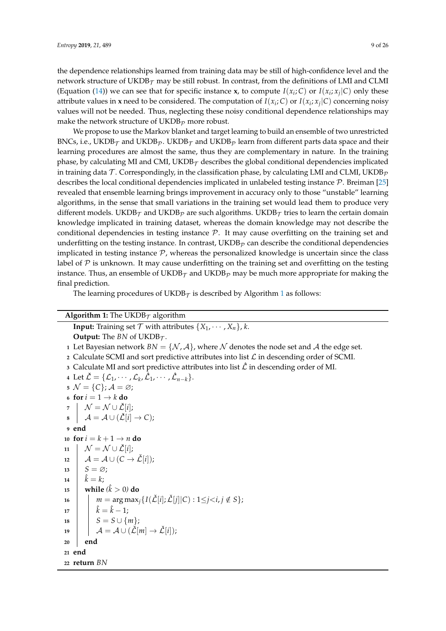the dependence relationships learned from training data may be still of high-confidence level and the network structure of UKDB $_{\mathcal{T}}$  may be still robust. In contrast, from the definitions of LMI and CLMI (Equation [\(14\)](#page-7-1)) we can see that for specific instance **x**, to compute  $I(x_i; C)$  or  $I(x_i; x_j | C)$  only these attribute values in **x** need to be considered. The computation of  $I(x_i; C)$  or  $I(x_i; x_j | C)$  concerning noisy values will not be needed. Thus, neglecting these noisy conditional dependence relationships may make the network structure of UKDB $p$  more robust.

We propose to use the Markov blanket and target learning to build an ensemble of two unrestricted BNCs, i.e., UKDB<sub>T</sub> and UKDB<sub>P</sub>. UKDB<sub>T</sub> and UKDB<sub>P</sub> learn from different parts data space and their learning procedures are almost the same, thus they are complementary in nature. In the training phase, by calculating MI and CMI, UKDB $_T$  describes the global conditional dependencies implicated in training data T. Correspondingly, in the classification phase, by calculating LMI and CLMI, UKDB<sub>p</sub> describes the local conditional dependencies implicated in unlabeled testing instance P. Breiman [\[25\]](#page-24-17) revealed that ensemble learning brings improvement in accuracy only to those "unstable" learning algorithms, in the sense that small variations in the training set would lead them to produce very different models. UKDB $_T$  and UKDB $_p$  are such algorithms. UKDB $_T$  tries to learn the certain domain knowledge implicated in training dataset, whereas the domain knowledge may not describe the conditional dependencies in testing instance  $P$ . It may cause overfitting on the training set and underfitting on the testing instance. In contrast,  $\mathrm{UKDB}_{\mathcal{P}}$  can describe the conditional dependencies implicated in testing instance  $P$ , whereas the personalized knowledge is uncertain since the class label of  $P$  is unknown. It may cause underfitting on the training set and overfitting on the testing instance. Thus, an ensemble of UKDB $_T$  and UKDB $_p$  may be much more appropriate for making the final prediction.

The learning procedures of UKDB $\tau$  is described by Algorithm [1](#page-8-0) as follows:

# <span id="page-8-0"></span>**Algorithm 1:** The UKDB $_T$  algorithm

**Input:** Training set  $\mathcal{T}$  with attributes  $\{X_1, \dots, X_n\}$ , *k*. **Output:** The *BN* of UKDB $\tau$ . Let Bayesian network  $BN = \{N, \mathcal{A}\}\$ , where N denotes the node set and A the edge set. 2 Calculate SCMI and sort predictive attributes into list  $\mathcal L$  in descending order of SCMI. Calculate MI and sort predictive attributes into list  $\hat{\mathcal{L}}$  in descending order of MI. Let  $\check{\mathcal{L}} = {\{\mathcal{L}_1, \cdots, \mathcal{L}_k, \hat{\mathcal{L}}_1, \cdots, \hat{\mathcal{L}}_{n-k}\}}.$   $\mathcal{N} = \{C\}$ ;  $\mathcal{A} = \emptyset$ ; **for**  $i = 1 \rightarrow k$  **do**   $\mathcal{N} = \mathcal{N} \cup \check{\mathcal{L}}[i];$   $\mathcal{A} = \mathcal{A} \cup (\mathcal{L}[i] \rightarrow C);$ **<sup>9</sup> end for**  $i = k + 1 \rightarrow n$  **do**  $11 \mid \mathcal{N} = \mathcal{N} \cup \check{\mathcal{L}}[i];$  $12 \mid \mathcal{A} = \mathcal{A} \cup (C \rightarrow \check{\mathcal{L}}[i])$ ;  $S = \varnothing$ ;  $\hat{k} = k$ ; **while**  $(k > 0)$  **do**  $\vert m = \arg \max_i \{ I(\check{L}[i]; \check{L}[i]|C) : 1 \leq j < i, j \notin S \};$  $\hat{k} = \hat{k} - 1;$ **|**  $S = S \cup \{m\};$  $\left| \quad \right| \quad \mathcal{A} = \mathcal{A} \cup (\check{\mathcal{L}}[m] \rightarrow \check{\mathcal{L}}[i]);$ **<sup>20</sup> end <sup>21</sup> end <sup>22</sup> return** *BN*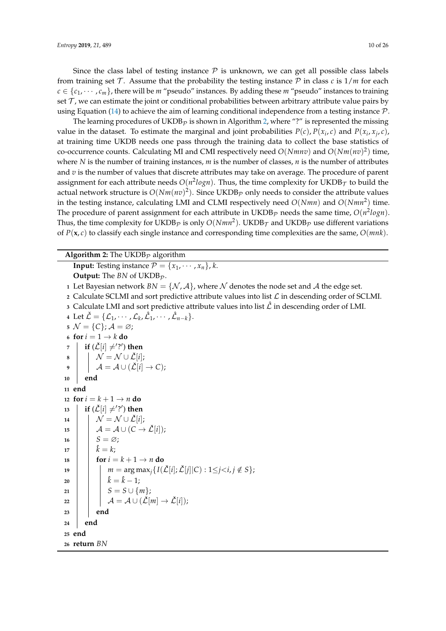Since the class label of testing instance  $P$  is unknown, we can get all possible class labels from training set T. Assume that the probability the testing instance P in class c is  $1/m$  for each  $c \in \{c_1, \dots, c_m\}$ , there will be *m* "pseudo" instances. By adding these *m* "pseudo" instances to training set  $\mathcal T$ , we can estimate the joint or conditional probabilities between arbitrary attribute value pairs by using Equation [\(14\)](#page-7-1) to achieve the aim of learning conditional independence from a testing instance  $\mathcal{P}$ .

The learning procedures of UKDB<sub>p</sub> is shown in Algorithm [2,](#page-9-0) where "?" is represented the missing value in the dataset. To estimate the marginal and joint probabilities  $P(c)$ ,  $P(x_i, c)$  and  $P(x_i, x_j, c)$ , at training time UKDB needs one pass through the training data to collect the base statistics of co-occurrence counts. Calculating MI and CMI respectively need *O*(*Nmnv*) and *O*(*Nm*(*nv*) 2 ) time, where *N* is the number of training instances, *m* is the number of classes, *n* is the number of attributes and *v* is the number of values that discrete attributes may take on average. The procedure of parent assignment for each attribute needs  $O(n^2 log n)$ . Thus, the time complexity for  $\mathrm{UKDB}_{\mathcal{T}}$  to build the actual network structure is  $O(Nm(nv)^2)$ . Since UKDB<sub>P</sub> only needs to consider the attribute values in the testing instance, calculating LMI and CLMI respectively need *O*(*Nmn*) and *O*(*Nmn*<sup>2</sup> ) time. The procedure of parent assignment for each attribute in  $\mathrm{UKDB}_\mathcal{P}$  needs the same time,  $O(n^2 log n).$ Thus, the time complexity for UKDB<sub>P</sub> is only  $O(Nmn^2)$ . UKDB<sub>T</sub> and UKDB<sub>P</sub> use different variations of *P*(**x**, *c*) to classify each single instance and corresponding time complexities are the same, *O*(*mnk*).

<span id="page-9-0"></span>**Algorithm 2:** The UKDB<sub>p</sub> algorithm **Input:** Testing instance  $P = \{x_1, \dots, x_n\}$ , *k*. **Output:** The  $BN$  of UKDB $p$ . **1** Let Bayesian network  $BN = \{N, \mathcal{A}\}\$ , where N denotes the node set and A the edge set. **2** Calculate SCLMI and sort predictive attribute values into list  $\mathcal{L}$  in descending order of SCLMI. **3** Calculate LMI and sort predictive attribute values into list  $\hat{\mathcal{L}}$  in descending order of LMI. **4** Let  $\check{\mathcal{L}} = {\{\mathcal{L}_1, \cdots, \mathcal{L}_k, \hat{\mathcal{L}}_1, \cdots, \hat{\mathcal{L}}_{n-k}\}}.$  $\mathcal{S} \mathcal{N} = \{C\}; \mathcal{A} = \varnothing;$ **6 for**  $i = 1 \rightarrow k$  **do**  $\sigma$   $\vert$   $\;$  **if** ( $\check{\mathcal{L}}[i] \neq$ '?') then **8**  $\mathcal{N} = \mathcal{N} \cup \mathcal{L}[i];$ **9**  $\downarrow$   $\mathcal{A} = \mathcal{A} \cup (\check{\mathcal{L}}[i] \rightarrow C);$ **<sup>10</sup> end <sup>11</sup> end** 12 **for**  $i = k + 1 \rightarrow n$  **do**  $\mathbf{13}$  **if** ( $\check{\mathcal{L}}[i] \neq$ '?') **then** 14  $\mathcal{N} = \mathcal{N} \cup \mathcal{L}[i];$ 15  $\left| \quad \right| A = A \cup (C \rightarrow \check{\mathcal{L}}[i])$ ; 16  $S = \varnothing$ ; 17  $\|\hat{k} = k;$ **18 for**  $i = k + 1 \rightarrow n$  **do** 19 *m* = arg max<sub>*i*</sub>{ $I(\mathcal{L}[i]; \mathcal{L}[j]|C) : 1 \leq j < i, j \notin S$ };  $20 \quad | \quad | \quad \hat{k} = \hat{k} - 1;$ 21 **|**  $S = S \cup \{m\};$  $22 \mid \cdot \mid \cdot \mathcal{A} = \mathcal{A} \cup (\check{\mathcal{L}}[m] \to \check{\mathcal{L}}[i]);$ **<sup>23</sup> end <sup>24</sup> end <sup>25</sup> end <sup>26</sup> return** *BN*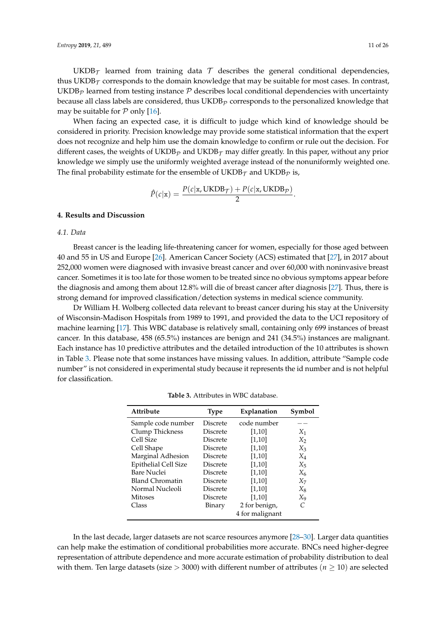$UKDB<sub>T</sub>$  learned from training data T describes the general conditional dependencies, thus UKDB $<sub>\tau</sub>$  corresponds to the domain knowledge that may be suitable for most cases. In contrast,</sub>  $\mathrm{UKDB}_\mathcal{P}$  learned from testing instance  $\mathcal P$  describes local conditional dependencies with uncertainty because all class labels are considered, thus  $UKDB<sub>p</sub>$  corresponds to the personalized knowledge that may be suitable for  $P$  only [\[16\]](#page-24-10).

When facing an expected case, it is difficult to judge which kind of knowledge should be considered in priority. Precision knowledge may provide some statistical information that the expert does not recognize and help him use the domain knowledge to confirm or rule out the decision. For different cases, the weights of UKDB<sub>p</sub> and UKDB<sub>T</sub> may differ greatly. In this paper, without any prior knowledge we simply use the uniformly weighted average instead of the nonuniformly weighted one. The final probability estimate for the ensemble of  $UKDB<sub>T</sub>$  and  $UKDB<sub>p</sub>$  is,

$$
\hat{P}(c|\mathbf{x}) = \frac{P(c|\mathbf{x}, \text{UKDB}_{\mathcal{T}}) + P(c|\mathbf{x}, \text{UKDB}_{\mathcal{P}})}{2}
$$

.

# **4. Results and Discussion**

# *4.1. Data*

Breast cancer is the leading life-threatening cancer for women, especially for those aged between 40 and 55 in US and Europe [\[26\]](#page-24-18). American Cancer Society (ACS) estimated that [\[27\]](#page-24-19), in 2017 about 252,000 women were diagnosed with invasive breast cancer and over 60,000 with noninvasive breast cancer. Sometimes it is too late for those women to be treated since no obvious symptoms appear before the diagnosis and among them about 12.8% will die of breast cancer after diagnosis [\[27\]](#page-24-19). Thus, there is strong demand for improved classification/detection systems in medical science community.

Dr William H. Wolberg collected data relevant to breast cancer during his stay at the University of Wisconsin-Madison Hospitals from 1989 to 1991, and provided the data to the UCI repository of machine learning [\[17\]](#page-24-11). This WBC database is relatively small, containing only 699 instances of breast cancer. In this database, 458 (65.5%) instances are benign and 241 (34.5%) instances are malignant. Each instance has 10 predictive attributes and the detailed introduction of the 10 attributes is shown in Table [3.](#page-10-0) Please note that some instances have missing values. In addition, attribute "Sample code number" is not considered in experimental study because it represents the id number and is not helpful for classification.

<span id="page-10-0"></span>

| Attribute              | <b>Type</b>     | Explanation     | Symbol |
|------------------------|-----------------|-----------------|--------|
| Sample code number     | Discrete        | code number     |        |
| Clump Thickness        | Discrete        | [1,10]          | $X_1$  |
| Cell Size              | Discrete        | [1,10]          | $X_2$  |
| Cell Shape             | Discrete        | [1,10]          | $X_3$  |
| Marginal Adhesion      | Discrete        | [1,10]          | $X_4$  |
| Epithelial Cell Size   | <b>Discrete</b> | [1,10]          | $X_5$  |
| <b>Bare Nuclei</b>     | Discrete        | [1,10]          | $X_6$  |
| <b>Bland Chromatin</b> | Discrete        | [1,10]          | $X_7$  |
| Normal Nucleoli        | Discrete        | [1,10]          | $X_8$  |
| Mitoses                | Discrete        | [1,10]          | X9     |
| Class                  | Binary          | 2 for benign,   | C      |
|                        |                 | 4 for malignant |        |

**Table 3.** Attributes in WBC database.

In the last decade, larger datasets are not scarce resources anymore [\[28](#page-24-20)[–30\]](#page-24-21). Larger data quantities can help make the estimation of conditional probabilities more accurate. BNCs need higher-degree representation of attribute dependence and more accurate estimation of probability distribution to deal with them. Ten large datasets (size  $>$  3000) with different number of attributes ( $n \ge 10$ ) are selected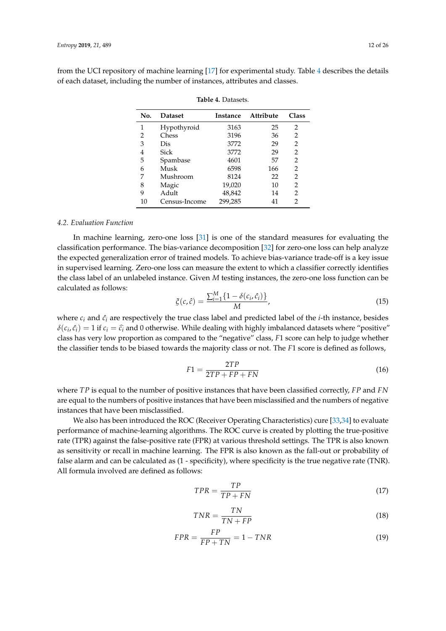<span id="page-11-0"></span>from the UCI repository of machine learning [\[17\]](#page-24-11) for experimental study. Table [4](#page-11-0) describes the details of each dataset, including the number of instances, attributes and classes.

| No. | <b>Dataset</b> | <b>Instance</b> | Attribute | Class |
|-----|----------------|-----------------|-----------|-------|
| 1   | Hypothyroid    | 3163            | 25        | 2     |
| 2   | Chess          | 3196            | 36        | 2     |
| З   | Dis            | 3772            | 29        | 2     |
| 4   | Sick           | 3772            | 29        | 2     |
| 5   | Spambase       | 4601            | 57        | 2     |
| 6   | Musk           | 6598            | 166       | 2     |
| 7   | Mushroom       | 8124            | 22        | 2     |
| 8   | Magic          | 19,020          | 10        | 2     |
| 9   | Adult          | 48,842          | 14        | 2     |
| 10  | Census-Income  | 299,285         | 41        | 2     |

**Table 4.** Datasets.

#### *4.2. Evaluation Function*

In machine learning, zero-one loss [\[31\]](#page-24-22) is one of the standard measures for evaluating the classification performance. The bias-variance decomposition [\[32\]](#page-25-0) for zero-one loss can help analyze the expected generalization error of trained models. To achieve bias-variance trade-off is a key issue in supervised learning. Zero-one loss can measure the extent to which a classifier correctly identifies the class label of an unlabeled instance. Given *M* testing instances, the zero-one loss function can be calculated as follows:

$$
\xi(c,\hat{c}) = \frac{\sum_{i=1}^{M} \{1 - \delta(c_i, \hat{c}_i)\}}{M},
$$
\n(15)

where  $c_i$  and  $\hat{c}_i$  are respectively the true class label and predicted label of the *i*-th instance, besides  $\delta(c_i, \hat{c}_i) = 1$  if  $c_i = \hat{c}_i$  and 0 otherwise. While dealing with highly imbalanced datasets where "positive" class has very low proportion as compared to the "negative" class, *F*1 score can help to judge whether the classifier tends to be biased towards the majority class or not. The *F*1 score is defined as follows,

$$
F1 = \frac{2TP}{2TP + FP + FN} \tag{16}
$$

where *TP* is equal to the number of positive instances that have been classified correctly, *FP* and *FN* are equal to the numbers of positive instances that have been misclassified and the numbers of negative instances that have been misclassified.

We also has been introduced the ROC (Receiver Operating Characteristics) cure [\[33,](#page-25-1)[34\]](#page-25-2) to evaluate performance of machine-learning algorithms. The ROC curve is created by plotting the true-positive rate (TPR) against the false-positive rate (FPR) at various threshold settings. The TPR is also known as sensitivity or recall in machine learning. The FPR is also known as the fall-out or probability of false alarm and can be calculated as (1 - specificity), where specificity is the true negative rate (TNR). All formula involved are defined as follows:

$$
TPR = \frac{TP}{TP + FN} \tag{17}
$$

$$
TNR = \frac{TN}{TN + FP} \tag{18}
$$

$$
FPR = \frac{FP}{FP + TN} = 1 - TNR
$$
\n(19)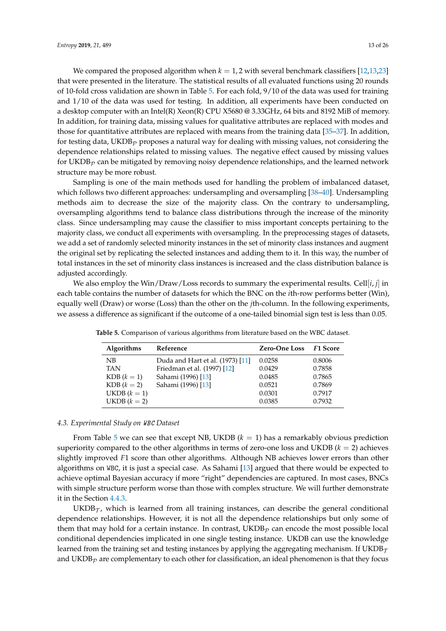We compared the proposed algorithm when  $k = 1, 2$  with several benchmark classifiers [\[12,](#page-24-6)[13,](#page-24-7)[23\]](#page-24-15) that were presented in the literature. The statistical results of all evaluated functions using 20 rounds of 10-fold cross validation are shown in Table [5.](#page-12-0) For each fold, 9/10 of the data was used for training and 1/10 of the data was used for testing. In addition, all experiments have been conducted on a desktop computer with an Intel(R) Xeon(R) CPU X5680 @ 3.33GHz, 64 bits and 8192 MiB of memory. In addition, for training data, missing values for qualitative attributes are replaced with modes and those for quantitative attributes are replaced with means from the training data [\[35–](#page-25-3)[37\]](#page-25-4). In addition, for testing data, UKDB<sub>P</sub> proposes a natural way for dealing with missing values, not considering the dependence relationships related to missing values. The negative effect caused by missing values for UKDB<sub>p</sub> can be mitigated by removing noisy dependence relationships, and the learned network structure may be more robust.

Sampling is one of the main methods used for handling the problem of imbalanced dataset, which follows two different approaches: undersampling and oversampling [\[38–](#page-25-5)[40\]](#page-25-6). Undersampling methods aim to decrease the size of the majority class. On the contrary to undersampling, oversampling algorithms tend to balance class distributions through the increase of the minority class. Since undersampling may cause the classifier to miss important concepts pertaining to the majority class, we conduct all experiments with oversampling. In the preprocessing stages of datasets, we add a set of randomly selected minority instances in the set of minority class instances and augment the original set by replicating the selected instances and adding them to it. In this way, the number of total instances in the set of minority class instances is increased and the class distribution balance is adjusted accordingly.

We also employ the Win/Draw/Loss records to summary the experimental results. Cell[*i*, *j*] in each table contains the number of datasets for which the BNC on the *i*th-row performs better (Win), equally well (Draw) or worse (Loss) than the other on the *j*th-column. In the following experiments, we assess a difference as significant if the outcome of a one-tailed binomial sign test is less than 0.05.

| Algorithms     | Reference                        | <b>Zero-One Loss</b> | <b>F1 Score</b> |
|----------------|----------------------------------|----------------------|-----------------|
| NB             | Duda and Hart et al. (1973) [11] | 0.0258               | 0.8006          |
| <b>TAN</b>     | Friedman et al. (1997) [12]      | 0.0429               | 0.7858          |
| $KDB (k = 1)$  | Sahami (1996) [13]               | 0.0485               | 0.7865          |
| $KDB (k = 2)$  | Sahami (1996) [13]               | 0.0521               | 0.7869          |
| UKDB $(k = 1)$ |                                  | 0.0301               | 0.7917          |
| $UKDB (k = 2)$ |                                  | 0.0385               | 0.7932          |

<span id="page-12-0"></span>**Table 5.** Comparison of various algorithms from literature based on the WBC dataset.

# *4.3. Experimental Study on* WBC *Dataset*

From Table [5](#page-12-0) we can see that except NB, UKDB  $(k = 1)$  has a remarkably obvious prediction superiority compared to the other algorithms in terms of zero-one loss and UKDB  $(k = 2)$  achieves slightly improved *F*1 score than other algorithms. Although NB achieves lower errors than other algorithms on WBC, it is just a special case. As Sahami [\[13\]](#page-24-7) argued that there would be expected to achieve optimal Bayesian accuracy if more "right" dependencies are captured. In most cases, BNCs with simple structure perform worse than those with complex structure. We will further demonstrate it in the Section [4.4.3.](#page-15-0)

 $UKDB_{\mathcal{T}}$ , which is learned from all training instances, can describe the general conditional dependence relationships. However, it is not all the dependence relationships but only some of them that may hold for a certain instance. In contrast,  $\mathrm{UKDB}_\mathcal{P}$  can encode the most possible local conditional dependencies implicated in one single testing instance. UKDB can use the knowledge learned from the training set and testing instances by applying the aggregating mechanism. If UKDB $\tau$ and UKDB $<sub>p</sub>$  are complementary to each other for classification, an ideal phenomenon is that they focus</sub>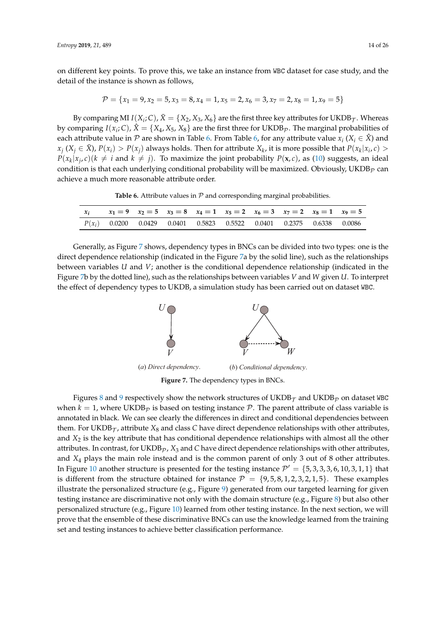on different key points. To prove this, we take an instance from WBC dataset for case study, and the detail of the instance is shown as follows,

$$
\mathcal{P} = \{x_1 = 9, x_2 = 5, x_3 = 8, x_4 = 1, x_5 = 2, x_6 = 3, x_7 = 2, x_8 = 1, x_9 = 5\}
$$

By comparing MI  $I(X_i; C)$ ,  $\bar{X} = \{X_2, X_3, X_6\}$  are the first three key attributes for UKDB $\tau$ . Whereas by comparing  $I(x_i; C)$ ,  $\hat{X} = \{X_4, X_5, X_8\}$  are the first three for UKDB<sub>P</sub>. The marginal probabilities of each attribute value in  $\mathcal P$  are shown in Table [6.](#page-13-0) From Table [6,](#page-13-0) for any attribute value  $x_i$  ( $X_i \in \hat X$ ) and  $x_j$  ( $X_j \in \overline{X}$ ),  $P(x_i) > P(x_j)$  always holds. Then for attribute  $X_k$ , it is more possible that  $P(x_k|x_i,c) >$  $P(x_k|x_j, c)$ ( $k \neq i$  and  $k \neq j$ ). To maximize the joint probability  $P(x, c)$ , as [\(10\)](#page-6-0) suggests, an ideal condition is that each underlying conditional probability will be maximized. Obviously, UKDB<sub>p</sub> can achieve a much more reasonable attribute order.

**Table 6.** Attribute values in  $P$  and corresponding marginal probabilities.

<span id="page-13-0"></span>

| $\mathcal{X}$ |  |  | $x_1 = 9$ $x_2 = 5$ $x_3 = 8$ $x_4 = 1$ $x_5 = 2$ $x_6 = 3$ $x_7 = 2$ $x_8 = 1$ $x_9 = 5$ |  |  |
|---------------|--|--|-------------------------------------------------------------------------------------------|--|--|
|               |  |  | $P(x_i)$ 0.0200 0.0429 0.0401 0.5823 0.5522 0.0401 0.2375 0.6338 0.0086                   |  |  |

<span id="page-13-1"></span>Generally, as Figure [7](#page-13-1) shows, dependency types in BNCs can be divided into two types: one is the direct dependence relationship (indicated in the Figure [7a](#page-13-1) by the solid line), such as the relationships between variables *U* and *V*; another is the conditional dependence relationship (indicated in the Figure [7b](#page-13-1) by the dotted line), such as the relationships between variables *V* and *W* given *U*. To interpret the effect of dependency types to UKDB, a simulation study has been carried out on dataset WBC.



**Figure 7.** The dependency types in BNCs.

Figures [8](#page-14-0) and [9](#page-14-1) respectively show the network structures of UKDB $_{\tau}$  and UKDB<sub> $_{\mathcal{D}}$ </sub> on dataset WBC when  $k = 1$ , where UKDB<sub>P</sub> is based on testing instance P. The parent attribute of class variable is annotated in black. We can see clearly the differences in direct and conditional dependencies between them. For UKDB $\tau$ , attribute  $X_8$  and class C have direct dependence relationships with other attributes, and *X*<sup>2</sup> is the key attribute that has conditional dependence relationships with almost all the other attributes. In contrast, for  $UKDB<sub>p</sub>$ ,  $X<sub>3</sub>$  and *C* have direct dependence relationships with other attributes, and *X*<sup>4</sup> plays the main role instead and is the common parent of only 3 out of 8 other attributes. In Figure [10](#page-14-2) another structure is presented for the testing instance  $\mathcal{P}' = \{5, 3, 3, 3, 6, 10, 3, 1, 1\}$  that is different from the structure obtained for instance  $\mathcal{P} = \{9.5, 8, 1, 2, 3, 2, 1, 5\}$ . These examples illustrate the personalized structure (e.g., Figure [9\)](#page-14-1) generated from our targeted learning for given testing instance are discriminative not only with the domain structure (e.g., Figure [8\)](#page-14-0) but also other personalized structure (e.g., Figure [10\)](#page-14-2) learned from other testing instance. In the next section, we will prove that the ensemble of these discriminative BNCs can use the knowledge learned from the training set and testing instances to achieve better classification performance.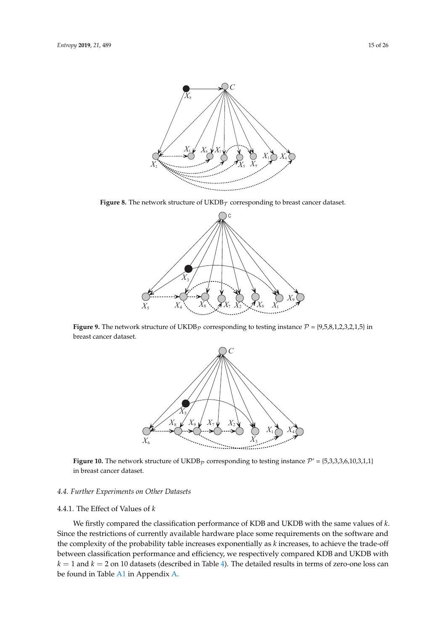<span id="page-14-0"></span>

<span id="page-14-1"></span>**Figure 8.** The network structure of  $UKDB<sub>T</sub>$  corresponding to breast cancer dataset.



<span id="page-14-2"></span>**Figure 9.** The network structure of UKDB<sub>p</sub> corresponding to testing instance  $P = \{9,5,8,1,2,3,2,1,5\}$  in breast cancer dataset.



**Figure 10.** The network structure of UKDB<sub>P</sub> corresponding to testing instance  $P' = \{5,3,3,3,6,10,3,1,1\}$ in breast cancer dataset.

#### *4.4. Further Experiments on Other Datasets*

## 4.4.1. The Effect of Values of *k*

We firstly compared the classification performance of KDB and UKDB with the same values of *k*. Since the restrictions of currently available hardware place some requirements on the software and the complexity of the probability table increases exponentially as *k* increases, to achieve the trade-off between classification performance and efficiency, we respectively compared KDB and UKDB with  $k = 1$  and  $k = 2$  on 10 datasets (described in Table [4\)](#page-11-0). The detailed results in terms of zero-one loss can be found in Table [A1](#page-22-0) in Appendix [A.](#page-21-0)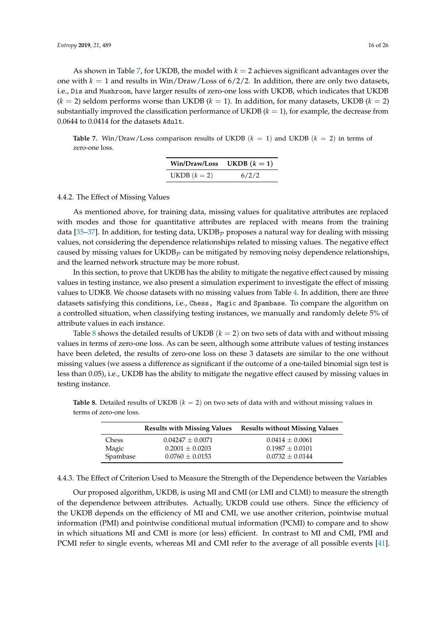As shown in Table [7,](#page-15-1) for UKDB, the model with  $k = 2$  achieves significant advantages over the one with  $k = 1$  and results in Win/Draw/Loss of  $6/2/2$ . In addition, there are only two datasets, i.e., Dis and Mushroom, have larger results of zero-one loss with UKDB, which indicates that UKDB  $(k = 2)$  seldom performs worse than UKDB  $(k = 1)$ . In addition, for many datasets, UKDB  $(k = 2)$ substantially improved the classification performance of UKDB  $(k = 1)$ , for example, the decrease from 0.0644 to 0.0414 for the datasets Adult.

<span id="page-15-1"></span>**Table 7.** Win/Draw/Loss comparison results of UKDB  $(k = 1)$  and UKDB  $(k = 2)$  in terms of zero-one loss.

| <b>Win/Draw/Loss</b> | UKDB $(k = 1)$ |  |
|----------------------|----------------|--|
| UKDB $(k = 2)$       | 6/2/2          |  |

#### 4.4.2. The Effect of Missing Values

As mentioned above, for training data, missing values for qualitative attributes are replaced with modes and those for quantitative attributes are replaced with means from the training data [\[35](#page-25-3)[–37\]](#page-25-4). In addition, for testing data,  $UKDB<sub>P</sub>$  proposes a natural way for dealing with missing values, not considering the dependence relationships related to missing values. The negative effect caused by missing values for  $UKDB<sub>p</sub>$  can be mitigated by removing noisy dependence relationships, and the learned network structure may be more robust.

In this section, to prove that UKDB has the ability to mitigate the negative effect caused by missing values in testing instance, we also present a simulation experiment to investigate the effect of missing values to UDKB. We choose datasets with no missing values from Table [4.](#page-11-0) In addition, there are three datasets satisfying this conditions, i.e., Chess, Magic and Spambase. To compare the algorithm on a controlled situation, when classifying testing instances, we manually and randomly delete 5% of attribute values in each instance.

Table [8](#page-15-2) shows the detailed results of UKDB  $(k = 2)$  on two sets of data with and without missing values in terms of zero-one loss. As can be seen, although some attribute values of testing instances have been deleted, the results of zero-one loss on these 3 datasets are similar to the one without missing values (we assess a difference as significant if the outcome of a one-tailed binomial sign test is less than 0.05), i.e., UKDB has the ability to mitigate the negative effect caused by missing values in testing instance.

|          | <b>Results with Missing Values</b> | <b>Results without Missing Values</b> |
|----------|------------------------------------|---------------------------------------|
| Chess    | $0.04247 + 0.0071$                 | $0.0414 + 0.0061$                     |
| Magic    | $0.2001 \pm 0.0203$                | $0.1987 + 0.0101$                     |
| Spambase | $0.0760 \pm 0.0153$                | $0.0732 \pm 0.0144$                   |

<span id="page-15-2"></span>**Table 8.** Detailed results of UKDB (*k* = 2) on two sets of data with and without missing values in terms of zero-one loss.

<span id="page-15-0"></span>4.4.3. The Effect of Criterion Used to Measure the Strength of the Dependence between the Variables

Our proposed algorithm, UKDB, is using MI and CMI (or LMI and CLMI) to measure the strength of the dependence between attributes. Actually, UKDB could use others. Since the efficiency of the UKDB depends on the efficiency of MI and CMI, we use another criterion, pointwise mutual information (PMI) and pointwise conditional mutual information (PCMI) to compare and to show in which situations MI and CMI is more (or less) efficient. In contrast to MI and CMI, PMI and PCMI refer to single events, whereas MI and CMI refer to the average of all possible events [\[41\]](#page-25-7).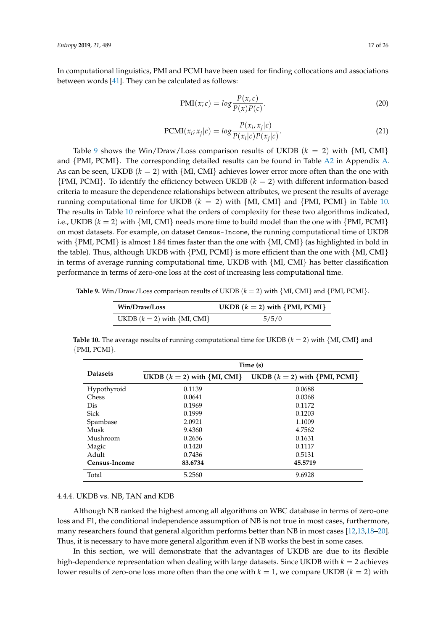In computational linguistics, PMI and PCMI have been used for finding collocations and associations between words [\[41\]](#page-25-7). They can be calculated as follows:

$$
PMI(x; c) = \log \frac{P(x, c)}{P(x)P(c)}.
$$
\n(20)

$$
PCMI(xi; xj|c) = log \frac{P(xi, xj|c)}{P(xi|c)P(xj|c)}.
$$
\n(21)

Table [9](#page-16-0) shows the Win/Draw/Loss comparison results of UKDB  $(k = 2)$  with  $\{MI, CM\}$ and {PMI, PCMI}. The corresponding detailed results can be found in Table [A2](#page-22-1) in Appendix [A.](#page-21-0) As can be seen, UKDB  $(k = 2)$  with  $\{MI, CM\}$  achieves lower error more often than the one with {PMI, PCMI}. To identify the efficiency between UKDB (*k* = 2) with different information-based criteria to measure the dependence relationships between attributes, we present the results of average running computational time for UKDB  $(k = 2)$  with  $\{ML, CMI\}$  and  $\{PMI, PCMI\}$  in Table [10.](#page-16-1) The results in Table [10](#page-16-1) reinforce what the orders of complexity for these two algorithms indicated, i.e., UKDB  $(k = 2)$  with  $\{MI, CM\}$  needs more time to build model than the one with  $\{PMI, PCMI\}$ on most datasets. For example, on dataset Census-Income, the running computational time of UKDB with  $\{PMI, PCMI\}$  is almost 1.84 times faster than the one with  $\{MI, CMI\}$  (as highlighted in bold in the table). Thus, although UKDB with  $\{PMI, PCMI\}$  is more efficient than the one with  $\{MI, CMI\}$ in terms of average running computational time, UKDB with {MI, CMI} has better classification performance in terms of zero-one loss at the cost of increasing less computational time.

<span id="page-16-0"></span>**Table 9.** Win/Draw/Loss comparison results of UKDB  $(k = 2)$  with  $\{ML, CM\}$  and  $\{PMI, PCMI\}$ .

| Win/Draw/Loss                     | UKDB $(k = 2)$ with {PMI, PCMI} |
|-----------------------------------|---------------------------------|
| UKDB $(k = 2)$ with $\{MI, CMI\}$ | 5/5/0                           |

<span id="page-16-1"></span>**Table 10.** The average results of running computational time for UKDB  $(k = 2)$  with  $\{MI, CM\}$  and {PMI, PCMI}.

|                 | Time (s)                          |                                 |  |  |
|-----------------|-----------------------------------|---------------------------------|--|--|
| <b>Datasets</b> | UKDB $(k = 2)$ with $\{MI, CMI\}$ | UKDB $(k = 2)$ with {PMI, PCMI} |  |  |
| Hypothyroid     | 0.1139                            | 0.0688                          |  |  |
| Chess           | 0.0641                            | 0.0368                          |  |  |
| Dis             | 0.1969                            | 0.1172                          |  |  |
| <b>Sick</b>     | 0.1999                            | 0.1203                          |  |  |
| Spambase        | 2.0921                            | 1.1009                          |  |  |
| Musk            | 9.4360                            | 4.7562                          |  |  |
| Mushroom        | 0.2656                            | 0.1631                          |  |  |
| Magic           | 0.1420                            | 0.1117                          |  |  |
| Adult           | 0.7436                            | 0.5131                          |  |  |
| Census-Income   | 83.6734                           | 45.5719                         |  |  |
| Total           | 5.2560                            | 9.6928                          |  |  |

#### 4.4.4. UKDB vs. NB, TAN and KDB

Although NB ranked the highest among all algorithms on WBC database in terms of zero-one loss and F1, the conditional independence assumption of NB is not true in most cases, furthermore, many researchers found that general algorithm performs better than NB in most cases [\[12,](#page-24-6)[13,](#page-24-7)[18–](#page-24-12)[20\]](#page-24-23). Thus, it is necessary to have more general algorithm even if NB works the best in some cases.

In this section, we will demonstrate that the advantages of UKDB are due to its flexible high-dependence representation when dealing with large datasets. Since UKDB with *k* = 2 achieves lower results of zero-one loss more often than the one with  $k = 1$ , we compare UKDB  $(k = 2)$  with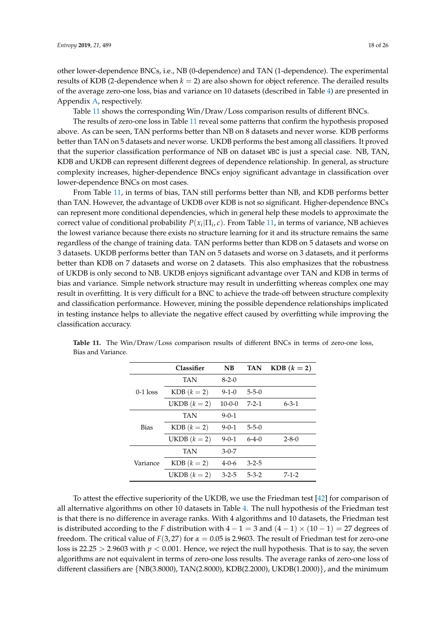other lower-dependence BNCs, i.e., NB (0-dependence) and TAN (1-dependence). The experimental results of KDB (2-dependence when  $k = 2$ ) are also shown for object reference. The derailed results of the average zero-one loss, bias and variance on 10 datasets (described in Table [4\)](#page-11-0) are presented in Appendix [A,](#page-21-0) respectively.

Table [11](#page-17-0) shows the corresponding Win/Draw/Loss comparison results of different BNCs.

The results of zero-one loss in Table [11](#page-17-0) reveal some patterns that confirm the hypothesis proposed above. As can be seen, TAN performs better than NB on 8 datasets and never worse. KDB performs better than TAN on 5 datasets and never worse. UKDB performs the best among all classifiers. It proved that the superior classification performance of NB on dataset WBC is just a special case. NB, TAN, KDB and UKDB can represent different degrees of dependence relationship. In general, as structure complexity increases, higher-dependence BNCs enjoy significant advantage in classification over lower-dependence BNCs on most cases.

From Table [11,](#page-17-0) in terms of bias, TAN still performs better than NB, and KDB performs better than TAN. However, the advantage of UKDB over KDB is not so significant. Higher-dependence BNCs can represent more conditional dependencies, which in general help these models to approximate the correct value of conditional probability *P*(*x<sup>i</sup>* |Π*<sup>i</sup>* , *c*). From Table [11,](#page-17-0) in terms of variance, NB achieves the lowest variance because there exists no structure learning for it and its structure remains the same regardless of the change of training data. TAN performs better than KDB on 5 datasets and worse on 3 datasets. UKDB performs better than TAN on 5 datasets and worse on 3 datasets, and it performs better than KDB on 7 datasets and worse on 2 datasets. This also emphasizes that the robustness of UKDB is only second to NB. UKDB enjoys significant advantage over TAN and KDB in terms of bias and variance. Simple network structure may result in underfitting whereas complex one may result in overfitting. It is very difficult for a BNC to achieve the trade-off between structure complexity and classification performance. However, mining the possible dependence relationships implicated in testing instance helps to alleviate the negative effect caused by overfitting while improving the classification accuracy.

|             | <b>Classifier</b> | N <sub>B</sub> | <b>TAN</b>  | $KDB (k = 2)$ |
|-------------|-------------------|----------------|-------------|---------------|
| $0-1$ loss  | <b>TAN</b>        | $8-2-0$        |             |               |
|             | $KDB (k = 2)$     | $9 - 1 - 0$    | $5 - 5 - 0$ |               |
|             | UKDB $(k = 2)$    | $10-0-0$       | $7 - 2 - 1$ | $6 - 3 - 1$   |
| <b>Bias</b> | <b>TAN</b>        | $9 - 0 - 1$    |             |               |
|             | $KDB (k = 2)$     | $9 - 0 - 1$    | $5 - 5 - 0$ |               |
|             | UKDB $(k = 2)$    | $9 - 0 - 1$    | $6-4-0$     | $2 - 8 - 0$   |
| Variance    | <b>TAN</b>        | $3-0-7$        |             |               |
|             | $KDB (k = 2)$     | $4 - 0 - 6$    | $3 - 2 - 5$ |               |
|             | UKDB $(k = 2)$    | $3 - 2 - 5$    | $5 - 3 - 2$ | $7 - 1 - 2$   |

<span id="page-17-0"></span>

|                    | Table 11. The Win/Draw/Loss comparison results of different BNCs in terms of zero-one loss, |  |  |  |  |  |
|--------------------|---------------------------------------------------------------------------------------------|--|--|--|--|--|
| Bias and Variance. |                                                                                             |  |  |  |  |  |

To attest the effective superiority of the UKDB, we use the Friedman test [\[42\]](#page-25-8) for comparison of all alternative algorithms on other 10 datasets in Table [4.](#page-11-0) The null hypothesis of the Friedman test is that there is no difference in average ranks. With 4 algorithms and 10 datasets, the Friedman test is distributed according to the *F* distribution with  $4 - 1 = 3$  and  $(4 - 1) \times (10 - 1) = 27$  degrees of freedom. The critical value of  $F(3, 27)$  for  $\alpha = 0.05$  is 2.9603. The result of Friedman test for zero-one loss is  $22.25 > 2.9603$  with  $p < 0.001$ . Hence, we reject the null hypothesis. That is to say, the seven algorithms are not equivalent in terms of zero-one loss results. The average ranks of zero-one loss of different classifiers are {NB(3.8000), TAN(2.8000), KDB(2.2000), UKDB(1.2000)}, and the minimum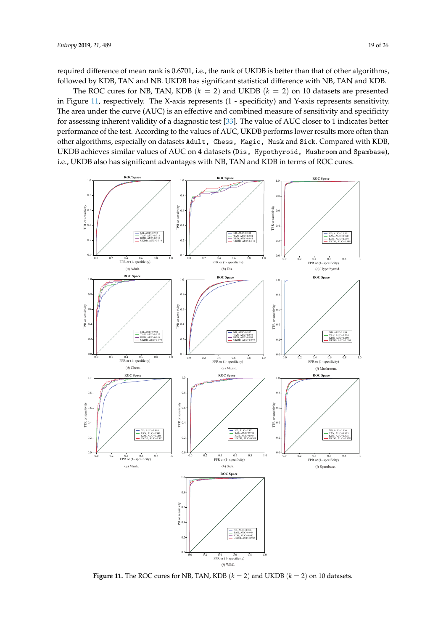required difference of mean rank is 0.6701, i.e., the rank of UKDB is better than that of other algorithms, followed by KDB, TAN and NB. UKDB has significant statistical difference with NB, TAN and KDB.

The ROC cures for NB, TAN, KDB  $(k = 2)$  and UKDB  $(k = 2)$  on 10 datasets are presented in Figure [11,](#page-18-0) respectively. The X-axis represents (1 - specificity) and Y-axis represents sensitivity. The area under the curve (AUC) is an effective and combined measure of sensitivity and specificity for assessing inherent validity of a diagnostic test [\[33\]](#page-25-1). The value of AUC closer to 1 indicates better performance of the test. According to the values of AUC, UKDB performs lower results more often than other algorithms, especially on datasets Adult, Chess, Magic, Musk and Sick. Compared with KDB, UKDB achieves similar values of AUC on 4 datasets (Dis, Hypothyroid, Mushroom and Spambase), i.e., UKDB also has significant advantages with NB, TAN and KDB in terms of ROC cures.

<span id="page-18-0"></span>

**Figure 11.** The ROC cures for NB, TAN, KDB  $(k = 2)$  and UKDB  $(k = 2)$  on 10 datasets.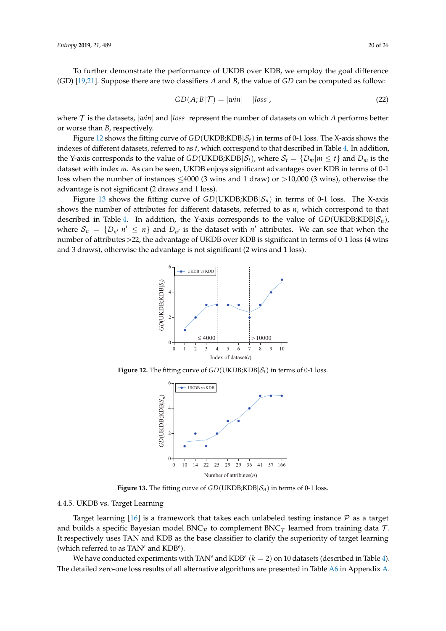To further demonstrate the performance of UKDB over KDB, we employ the goal difference (GD) [\[19](#page-24-24)[,21\]](#page-24-13). Suppose there are two classifiers *A* and *B*, the value of *GD* can be computed as follow:

$$
GD(A;B|\mathcal{T}) = |win| - |loss|,
$$
\n(22)

where  $\tau$  is the datasets,  $|win|$  and  $|loss|$  represent the number of datasets on which  $A$  performs better or worse than *B*, respectively.

Figure [12](#page-19-0) shows the fitting curve of  $GD(UKDB; KDB|S_t)$  in terms of 0-1 loss. The X-axis shows the indexes of different datasets, referred to as *t*, which correspond to that described in Table [4.](#page-11-0) In addition, the Y-axis corresponds to the value of *GD*(UKDB;KDB| $S_t$ ), where  $S_t = \{D_m | m \le t\}$  and  $D_m$  is the dataset with index *m*. As can be seen, UKDB enjoys significant advantages over KDB in terms of 0-1 loss when the number of instances  $\leq$ 4000 (3 wins and 1 draw) or  $>$ 10,000 (3 wins), otherwise the advantage is not significant (2 draws and 1 loss).

<span id="page-19-0"></span>Figure [13](#page-19-1) shows the fitting curve of  $GD(UKDB; KDB | \mathcal{S}_n)$  in terms of 0-1 loss. The X-axis shows the number of attributes for different datasets, referred to as *n*, which correspond to that described in Table [4.](#page-11-0) In addition, the Y-axis corresponds to the value of  $GD(UKDB; KDB|S<sub>n</sub>)$ , where  $S_n = \{D_{n'}|n' \leq n\}$  and  $D_{n'}$  is the dataset with  $n'$  attributes. We can see that when the number of attributes >22, the advantage of UKDB over KDB is significant in terms of 0-1 loss (4 wins and 3 draws), otherwise the advantage is not significant (2 wins and 1 loss).



<span id="page-19-1"></span>**Figure 12.** The fitting curve of  $GD(UKDB; KDB | \mathcal{S}_t)$  in terms of 0-1 loss.



**Figure 13.** The fitting curve of  $GD(UKDB; KDB | \mathcal{S}_n)$  in terms of 0-1 loss.

# 4.4.5. UKDB vs. Target Learning

Target learning [\[16\]](#page-24-10) is a framework that takes each unlabeled testing instance  $P$  as a target and builds a specific Bayesian model BNC<sub>p</sub> to complement BNC<sub>T</sub> learned from training data T. It respectively uses TAN and KDB as the base classifier to clarify the superiority of target learning (which referred to as TAN*<sup>e</sup>* and KDB*<sup>e</sup>* ).

We have conducted experiments with  $\text{TAN}^e$  and  $\text{KDB}^e$   $(k=2)$  on 10 datasets (described in Table [4\)](#page-11-0). The detailed zero-one loss results of all alternative algorithms are presented in Table [A6](#page-23-3) in Appendix [A.](#page-21-0)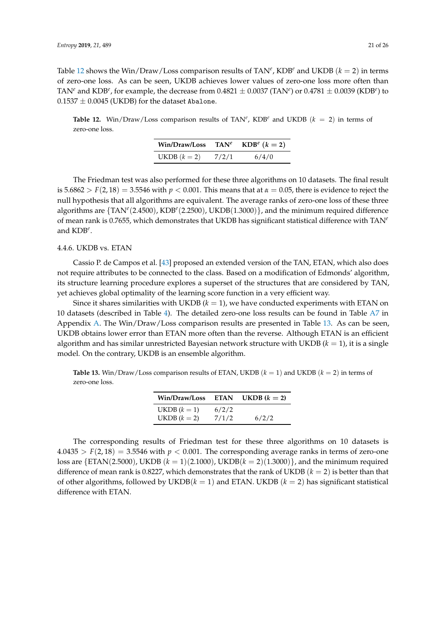Table [12](#page-20-0) shows the Win/Draw/Loss comparison results of  $TAN^e$ ,  $KDB^e$  and UKDB  $(k = 2)$  in terms of zero-one loss. As can be seen, UKDB achieves lower values of zero-one loss more often than TAN<sup>e</sup> and KDB<sup>e</sup>, for example, the decrease from  $0.4821 \pm 0.0037$  (TAN<sup>e</sup>) or  $0.4781 \pm 0.0039$  (KDB<sup>e</sup>) to  $0.1537 \pm 0.0045$  (UKDB) for the dataset Abalone.

<span id="page-20-0"></span>**Table 12.** Win/Draw/Loss comparison results of TAN<sup>e</sup>, KDB<sup>e</sup> and UKDB ( $k = 2$ ) in terms of zero-one loss.

| Win/Draw/Loss  | $TAN^e$ | $KDB^e$ $(k = 2)$ |
|----------------|---------|-------------------|
| UKDB $(k = 2)$ | 7/2/1   | 6/4/0             |

The Friedman test was also performed for these three algorithms on 10 datasets. The final result is  $5.6862 > F(2, 18) = 3.5546$  with  $p < 0.001$ . This means that at  $\alpha = 0.05$ , there is evidence to reject the null hypothesis that all algorithms are equivalent. The average ranks of zero-one loss of these three algorithms are {TAN*<sup>e</sup>* (2.4500), KDB*<sup>e</sup>* (2.2500), UKDB(1.3000)}, and the minimum required difference of mean rank is 0.7655, which demonstrates that UKDB has significant statistical difference with TAN*<sup>e</sup>* and KDB*<sup>e</sup>* .

# 4.4.6. UKDB vs. ETAN

Cassio P. de Campos et al. [\[43\]](#page-25-9) proposed an extended version of the TAN, ETAN, which also does not require attributes to be connected to the class. Based on a modification of Edmonds' algorithm, its structure learning procedure explores a superset of the structures that are considered by TAN, yet achieves global optimality of the learning score function in a very efficient way.

Since it shares similarities with UKDB  $(k = 1)$ , we have conducted experiments with ETAN on 10 datasets (described in Table [4\)](#page-11-0). The detailed zero-one loss results can be found in Table [A7](#page-23-4) in Appendix [A.](#page-21-0) The Win/Draw/Loss comparison results are presented in Table [13.](#page-20-1) As can be seen, UKDB obtains lower error than ETAN more often than the reverse. Although ETAN is an efficient algorithm and has similar unrestricted Bayesian network structure with UKDB (*k* = 1), it is a single model. On the contrary, UKDB is an ensemble algorithm.

<span id="page-20-1"></span>**Table 13.** Win/Draw/Loss comparison results of ETAN, UKDB (*k* = 1) and UKDB (*k* = 2) in terms of zero-one loss.

| Win/Draw/Loss  | <b>ETAN</b> | UKDB $(k = 2)$ |
|----------------|-------------|----------------|
| UKDB $(k=1)$   | 6/2/2       |                |
| UKDB $(k = 2)$ | 7/1/2       | 6/2/2          |

The corresponding results of Friedman test for these three algorithms on 10 datasets is  $4.0435 > F(2, 18) = 3.5546$  with  $p < 0.001$ . The corresponding average ranks in terms of zero-one loss are {ETAN(2.5000), UKDB ( $k = 1$ )(2.1000), UKDB( $k = 2$ )(1.3000)}, and the minimum required difference of mean rank is 0.8227, which demonstrates that the rank of UKDB  $(k = 2)$  is better than that of other algorithms, followed by  $UKDB(k = 1)$  and ETAN. UKDB  $(k = 2)$  has significant statistical difference with ETAN.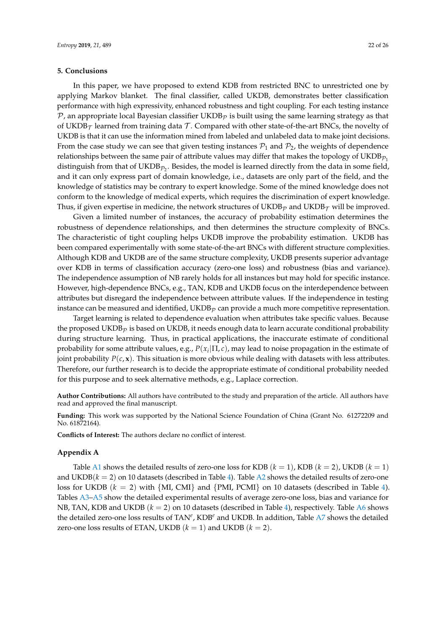# **5. Conclusions**

In this paper, we have proposed to extend KDB from restricted BNC to unrestricted one by applying Markov blanket. The final classifier, called UKDB, demonstrates better classification performance with high expressivity, enhanced robustness and tight coupling. For each testing instance  $P$ , an appropriate local Bayesian classifier UKDB<sub>P</sub> is built using the same learning strategy as that of UKDB $<sub>\tau</sub>$  learned from training data T. Compared with other state-of-the-art BNCs, the novelty of</sub> UKDB is that it can use the information mined from labeled and unlabeled data to make joint decisions. From the case study we can see that given testing instances  $P_1$  and  $P_2$ , the weights of dependence relationships between the same pair of attribute values may differ that makes the topology of UKDB $_{\mathcal{P}_1}$ distinguish from that of UKDB $_{\mathcal{P}_2}.$  Besides, the model is learned directly from the data in some field, and it can only express part of domain knowledge, i.e., datasets are only part of the field, and the knowledge of statistics may be contrary to expert knowledge. Some of the mined knowledge does not conform to the knowledge of medical experts, which requires the discrimination of expert knowledge. Thus, if given expertise in medicine, the network structures of UKDB<sub>p</sub> and UKDB<sub>T</sub> will be improved.

Given a limited number of instances, the accuracy of probability estimation determines the robustness of dependence relationships, and then determines the structure complexity of BNCs. The characteristic of tight coupling helps UKDB improve the probability estimation. UKDB has been compared experimentally with some state-of-the-art BNCs with different structure complexities. Although KDB and UKDB are of the same structure complexity, UKDB presents superior advantage over KDB in terms of classification accuracy (zero-one loss) and robustness (bias and variance). The independence assumption of NB rarely holds for all instances but may hold for specific instance. However, high-dependence BNCs, e.g., TAN, KDB and UKDB focus on the interdependence between attributes but disregard the independence between attribute values. If the independence in testing instance can be measured and identified,  $\mathrm{UKDB}_\mathcal{P}$  can provide a much more competitive representation.

Target learning is related to dependence evaluation when attributes take specific values. Because the proposed UKDB<sub>p</sub> is based on UKDB, it needs enough data to learn accurate conditional probability during structure learning. Thus, in practical applications, the inaccurate estimate of conditional probability for some attribute values, e.g., *P*(*x<sup>i</sup>* |Π, *c*), may lead to noise propagation in the estimate of joint probability  $P(c, x)$ . This situation is more obvious while dealing with datasets with less attributes. Therefore, our further research is to decide the appropriate estimate of conditional probability needed for this purpose and to seek alternative methods, e.g., Laplace correction.

**Author Contributions:** All authors have contributed to the study and preparation of the article. All authors have read and approved the final manuscript.

**Funding:** This work was supported by the National Science Foundation of China (Grant No. 61272209 and No. 61872164).

**Conflicts of Interest:** The authors declare no conflict of interest.

#### <span id="page-21-0"></span>**Appendix A**

Table [A1](#page-22-0) shows the detailed results of zero-one loss for KDB  $(k = 1)$ , KDB  $(k = 2)$ , UKDB  $(k = 1)$ and UKDB $(k = 2)$  on 10 datasets (described in Table [4\)](#page-11-0). Table [A2](#page-22-1) shows the detailed results of zero-one loss for UKDB (*k* = 2) with {MI, CMI} and {PMI, PCMI} on 10 datasets (described in Table [4\)](#page-11-0). Tables [A3](#page-22-2)[–A5](#page-23-5) show the detailed experimental results of average zero-one loss, bias and variance for NB, TAN, KDB and UKDB (*k* = 2) on 10 datasets (described in Table [4\)](#page-11-0), respectively. Table [A6](#page-23-3) shows the detailed zero-one loss results of TAN*<sup>e</sup>* , KDB*<sup>e</sup>* and UKDB. In addition, Table [A7](#page-23-4) shows the detailed zero-one loss results of ETAN, UKDB  $(k = 1)$  and UKDB  $(k = 2)$ .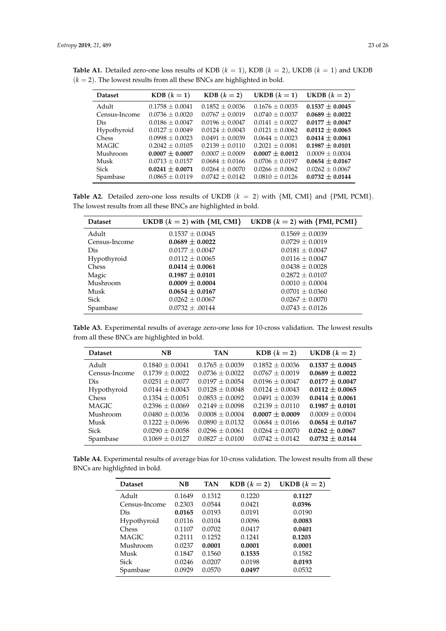| <b>Dataset</b> | $KDB (k = 1)$       | $KDB (k = 2)$       | UKDB $(k = 1)$      | UKDB $(k = 2)$      |
|----------------|---------------------|---------------------|---------------------|---------------------|
| Adult          | $0.1758 \pm 0.0041$ | $0.1852 \pm 0.0036$ | $0.1676 \pm 0.0035$ | $0.1537 \pm 0.0045$ |
| Census-Income  | $0.0736 + 0.0020$   | $0.0767 + 0.0019$   | $0.0740 + 0.0037$   | $0.0689 \pm 0.0022$ |
| Dis            | $0.0186 + 0.0047$   | $0.0196 + 0.0047$   | $0.0141 + 0.0027$   | $0.0177 \pm 0.0047$ |
| Hypothyroid    | $0.0127 \pm 0.0049$ | $0.0124 + 0.0043$   | $0.0121 + 0.0062$   | $0.0112 \pm 0.0065$ |
| <b>Chess</b>   | $0.0998 + 0.0023$   | $0.0491 \pm 0.0039$ | $0.0644 + 0.0023$   | $0.0414 \pm 0.0061$ |
| <b>MAGIC</b>   | $0.2042 + 0.0105$   | $0.2139 + 0.0110$   | $0.2021 + 0.0081$   | $0.1987 + 0.0101$   |
| Mushroom       | $0.0007 \pm 0.0007$ | $0.0007 + 0.0009$   | $0.0007 \pm 0.0012$ | $0.0009 \pm 0.0004$ |
| Musk           | $0.0713 \pm 0.0157$ | $0.0684 \pm 0.0166$ | $0.0706 + 0.0197$   | $0.0654 \pm 0.0167$ |
| Sick           | $0.0241 \pm 0.0071$ | $0.0264 + 0.0070$   | $0.0266 \pm 0.0062$ | $0.0262 \pm 0.0067$ |
| Spambase       | $0.0865 \pm 0.0119$ | $0.0742 \pm 0.0142$ | $0.0810 + 0.0126$   | $0.0732 \pm 0.0144$ |

<span id="page-22-0"></span>**Table A1.** Detailed zero-one loss results of KDB  $(k = 1)$ , KDB  $(k = 2)$ , UKDB  $(k = 1)$  and UKDB  $(k = 2)$ . The lowest results from all these BNCs are highlighted in bold.

<span id="page-22-1"></span>**Table A2.** Detailed zero-one loss results of UKDB  $(k = 2)$  with  $\{MI, CM\}$  and  $\{PMI, PCMI\}$ . The lowest results from all these BNCs are highlighted in bold.

| <b>Dataset</b> | UKDB $(k = 2)$ with $\{MI, CMI\}$ | UKDB $(k = 2)$ with {PMI, PCMI} |
|----------------|-----------------------------------|---------------------------------|
| Adult          | $0.1537 \pm 0.0045$               | $0.1569 \pm 0.0039$             |
| Census-Income  | $0.0689 \pm 0.0022$               | $0.0729 \pm 0.0019$             |
| Dis            | $0.0177 \pm 0.0047$               | $0.0181 \pm 0.0047$             |
| Hypothyroid    | $0.0112 \pm 0.0065$               | $0.0116 \pm 0.0047$             |
| <b>Chess</b>   | $0.0414 \pm 0.0061$               | $0.0438 \pm 0.0028$             |
| Magic          | $0.1987 \pm 0.0101$               | $0.2872 \pm 0.0107$             |
| Mushroom       | $0.0009 \pm 0.0004$               | $0.0010 \pm 0.0004$             |
| Musk           | $0.0654 \pm 0.0167$               | $0.0701 \pm 0.0360$             |
| <b>Sick</b>    | $0.0262 \pm 0.0067$               | $0.0267 \pm 0.0070$             |
| Spambase       | $0.0732 \pm .00144$               | $0.0743 \pm 0.0126$             |

<span id="page-22-2"></span>**Table A3.** Experimental results of average zero-one loss for 10-cross validation. The lowest results from all these BNCs are highlighted in bold.

| <b>Dataset</b> | N <sub>B</sub>      | <b>TAN</b>          | $KDB (k = 2)$       | UKDB $(k = 2)$      |
|----------------|---------------------|---------------------|---------------------|---------------------|
| Adult          | $0.1840 \pm 0.0041$ | $0.1765 \pm 0.0039$ | $0.1852 \pm 0.0036$ | $0.1537 \pm 0.0045$ |
| Census-Income  | $0.1739 + 0.0022$   | $0.0736 + 0.0022$   | $0.0767 + 0.0019$   | $0.0689 + 0.0022$   |
| Dis            | $0.0251 + 0.0077$   | $0.0197 + 0.0054$   | $0.0196 + 0.0047$   | $0.0177 + 0.0047$   |
| Hypothyroid    | $0.0144 + 0.0043$   | $0.0128 + 0.0048$   | $0.0124 + 0.0043$   | $0.0112 \pm 0.0065$ |
| Chess          | $0.1354 + 0.0051$   | $0.0853 + 0.0092$   | $0.0491 + 0.0039$   | $0.0414 \pm 0.0061$ |
| <b>MAGIC</b>   | $0.2396 \pm 0.0069$ | $0.2149 + 0.0098$   | $0.2139 \pm 0.0110$ | $0.1987 + 0.0101$   |
| Mushroom       | $0.0480 + 0.0036$   | $0.0008 + 0.0004$   | $0.0007 + 0.0009$   | $0.0009 + 0.0004$   |
| Musk           | $0.1222 \pm 0.0696$ | $0.0890 + 0.0132$   | $0.0684 + 0.0166$   | $0.0654 \pm 0.0167$ |
| <b>Sick</b>    | $0.0290 \pm 0.0058$ | $0.0296 \pm 0.0061$ | $0.0264 + 0.0070$   | $0.0262 \pm 0.0067$ |
| Spambase       | $0.1069 + 0.0127$   | $0.0827 \pm 0.0100$ | $0.0742 + 0.0142$   | $0.0732 \pm 0.0144$ |

**Table A4.** Experimental results of average bias for 10-cross validation. The lowest results from all these BNCs are highlighted in bold.

| <b>Dataset</b> | NB     | <b>TAN</b> | $KDB (k = 2)$ | UKDB $(k = 2)$ |
|----------------|--------|------------|---------------|----------------|
| Adult          | 0.1649 | 0.1312     | 0.1220        | 0.1127         |
| Census-Income  | 0.2303 | 0.0544     | 0.0421        | 0.0396         |
| Dis            | 0.0165 | 0.0193     | 0.0191        | 0.0190         |
| Hypothyroid    | 0.0116 | 0.0104     | 0.0096        | 0.0083         |
| Chess          | 0.1107 | 0.0702     | 0.0417        | 0.0401         |
| MAGIC          | 0.2111 | 0.1252     | 0.1241        | 0.1203         |
| Mushroom       | 0.0237 | 0.0001     | 0.0001        | 0.0001         |
| Musk           | 0.1847 | 0.1560     | 0.1535        | 0.1582         |
| Sick           | 0.0246 | 0.0207     | 0.0198        | 0.0193         |
| Spambase       | 0.0929 | 0.0570     | 0.0497        | 0.0532         |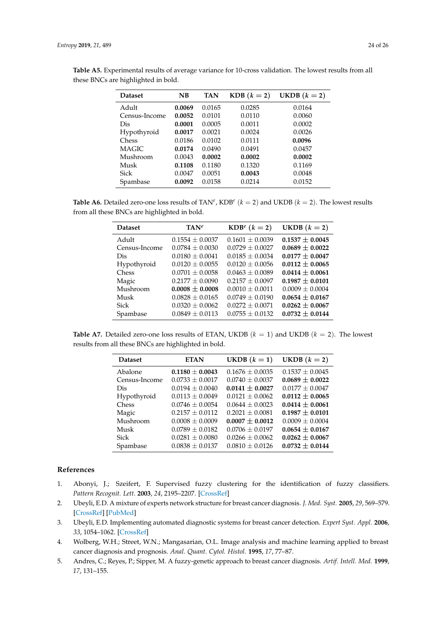| <b>Dataset</b> | NB     | <b>TAN</b> | $KDB (k = 2)$ | UKDB $(k = 2)$ |
|----------------|--------|------------|---------------|----------------|
| Adult          | 0.0069 | 0.0165     | 0.0285        | 0.0164         |
| Census-Income  | 0.0052 | 0.0101     | 0.0110        | 0.0060         |
| Dis            | 0.0001 | 0.0005     | 0.0011        | 0.0002         |
| Hypothyroid    | 0.0017 | 0.0021     | 0.0024        | 0.0026         |
| Chess          | 0.0186 | 0.0102     | 0.0111        | 0.0096         |
| <b>MAGIC</b>   | 0.0174 | 0.0490     | 0.0491        | 0.0457         |
| Mushroom       | 0.0043 | 0.0002     | 0.0002        | 0.0002         |
| Musk           | 0.1108 | 0.1180     | 0.1320        | 0.1169         |
| Sick           | 0.0047 | 0.0051     | 0.0043        | 0.0048         |
| Spambase       | 0.0092 | 0.0158     | 0.0214        | 0.0152         |

<span id="page-23-5"></span>**Table A5.** Experimental results of average variance for 10-cross validation. The lowest results from all these BNCs are highlighted in bold.

<span id="page-23-3"></span>**Table A6.** Detailed zero-one loss results of TAN<sup>e</sup>, KDB<sup>e</sup> ( $k = 2$ ) and UKDB ( $k = 2$ ). The lowest results from all these BNCs are highlighted in bold.

| <b>Dataset</b> | $TAN^e$             | $KDB^e$ $(k = 2)$   | UKDB $(k = 2)$      |
|----------------|---------------------|---------------------|---------------------|
| Adult          | $0.1554 \pm 0.0037$ | $0.1601 \pm 0.0039$ | $0.1537 \pm 0.0045$ |
| Census-Income  | $0.0784 \pm 0.0030$ | $0.0729 \pm 0.0027$ | $0.0689 \pm 0.0022$ |
| Dis            | $0.0180 \pm 0.0041$ | $0.0185 \pm 0.0034$ | $0.0177 \pm 0.0047$ |
| Hypothyroid    | $0.0120 \pm 0.0055$ | $0.0120 \pm 0.0056$ | $0.0112 \pm 0.0065$ |
| <b>Chess</b>   | $0.0701 + 0.0058$   | $0.0463 \pm 0.0089$ | $0.0414 \pm 0.0061$ |
| Magic          | $0.2177 \pm 0.0090$ | $0.2157 + 0.0097$   | $0.1987 \pm 0.0101$ |
| Mushroom       | $0.0008 \pm 0.0008$ | $0.0010 \pm 0.0011$ | $0.0009 \pm 0.0004$ |
| Musk           | $0.0828 \pm 0.0165$ | $0.0749 \pm 0.0190$ | $0.0654 \pm 0.0167$ |
| Sick           | $0.0320 \pm 0.0062$ | $0.0272 \pm 0.0071$ | $0.0262 \pm 0.0067$ |
| Spambase       | $0.0849 \pm 0.0113$ | $0.0755 + 0.0132$   | $0.0732 \pm 0.0144$ |

<span id="page-23-4"></span>**Table A7.** Detailed zero-one loss results of ETAN, UKDB  $(k = 1)$  and UKDB  $(k = 2)$ . The lowest results from all these BNCs are highlighted in bold.

| <b>Dataset</b> | <b>ETAN</b>         | UKDB $(k = 1)$      | UKDB $(k = 2)$      |
|----------------|---------------------|---------------------|---------------------|
| Abalone        | $0.1180 \pm 0.0043$ | $0.1676 \pm 0.0035$ | $0.1537 \pm 0.0045$ |
| Census-Income  | $0.0733 + 0.0017$   | $0.0740 + 0.0037$   | $0.0689 \pm 0.0022$ |
| Dis            | $0.0194 \pm 0.0040$ | $0.0141 \pm 0.0027$ | $0.0177 \pm 0.0047$ |
| Hypothyroid    | $0.0113 \pm 0.0049$ | $0.0121 \pm 0.0062$ | $0.0112 \pm 0.0065$ |
| <b>Chess</b>   | $0.0746 \pm 0.0054$ | $0.0644 + 0.0023$   | $0.0414 \pm 0.0061$ |
| Magic          | $0.2157 \pm 0.0112$ | $0.2021 + 0.0081$   | $0.1987 \pm 0.0101$ |
| Mushroom       | $0.0008 \pm 0.0009$ | $0.0007 \pm 0.0012$ | $0.0009 \pm 0.0004$ |
| Musk           | $0.0789 \pm 0.0182$ | $0.0706 \pm 0.0197$ | $0.0654 \pm 0.0167$ |
| Sick           | $0.0281 \pm 0.0080$ | $0.0266 \pm 0.0062$ | $0.0262 \pm 0.0067$ |
| Spambase       | $0.0838 \pm 0.0137$ | $0.0810 \pm 0.0126$ | $0.0732 \pm 0.0144$ |

## **References**

- <span id="page-23-0"></span>1. Abonyi, J.; Szeifert, F. Supervised fuzzy clustering for the identification of fuzzy classifiers. *Pattern Recognit. Lett.* **2003**, *24*, 2195–2207. [\[CrossRef\]](http://dx.doi.org/10.1016/S0167-8655(03)00047-3)
- 2. Ubeyli, E.D. A mixture of experts network structure for breast cancer diagnosis. *J. Med. Syst.* **2005**, *29*, 569–579. [\[CrossRef\]](http://dx.doi.org/10.1007/s10916-005-6112-6) [\[PubMed\]](http://www.ncbi.nlm.nih.gov/pubmed/16180491)
- 3. Ubeyli, E.D. Implementing automated diagnostic systems for breast cancer detection. *Expert Syst. Appl.* **2006**, *33*, 1054–1062. [\[CrossRef\]](http://dx.doi.org/10.1016/j.eswa.2006.08.005)
- <span id="page-23-1"></span>4. Wolberg, W.H.; Street, W.N.; Mangasarian, O.L. Image analysis and machine learning applied to breast cancer diagnosis and prognosis. *Anal. Quant. Cytol. Histol.* **1995**, *17*, 77–87.
- <span id="page-23-2"></span>5. Andres, C.; Reyes, P.; Sipper, M. A fuzzy-genetic approach to breast cancer diagnosis. *Artif. Intell. Med.* **1999**, *17*, 131–155.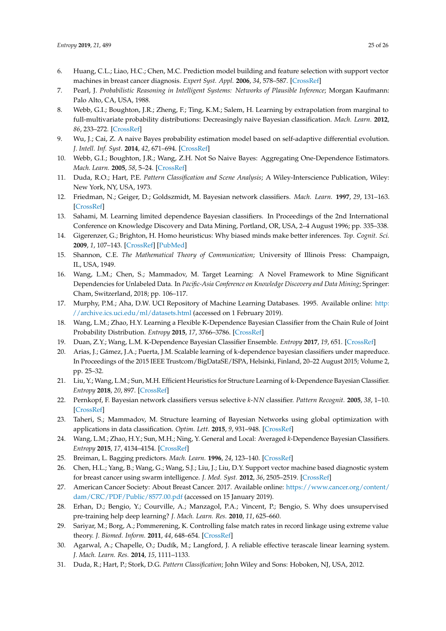- <span id="page-24-0"></span>6. Huang, C.L.; Liao, H.C.; Chen, M.C. Prediction model building and feature selection with support vector machines in breast cancer diagnosis. *Expert Syst. Appl.* **2006**, *34*, 578–587. [\[CrossRef\]](http://dx.doi.org/10.1016/j.eswa.2006.09.041)
- <span id="page-24-1"></span>7. Pearl, J. *Probabilistic Reasoning in Intelligent Systems: Networks of Plausible Inference*; Morgan Kaufmann: Palo Alto, CA, USA, 1988.
- <span id="page-24-2"></span>8. Webb, G.I.; Boughton, J.R.; Zheng, F.; Ting, K.M.; Salem, H. Learning by extrapolation from marginal to full-multivariate probability distributions: Decreasingly naive Bayesian classification. *Mach. Learn.* **2012**, *86*, 233–272. [\[CrossRef\]](http://dx.doi.org/10.1007/s10994-011-5263-6)
- <span id="page-24-3"></span>9. Wu, J.; Cai, Z. A naive Bayes probability estimation model based on self-adaptive differential evolution. *J. Intell. Inf. Syst.* **2014**, *42*, 671–694. [\[CrossRef\]](http://dx.doi.org/10.1007/s10844-013-0279-y)
- <span id="page-24-4"></span>10. Webb, G.I.; Boughton, J.R.; Wang, Z.H. Not So Naive Bayes: Aggregating One-Dependence Estimators. *Mach. Learn.* **2005**, *58*, 5–24. [\[CrossRef\]](http://dx.doi.org/10.1007/s10994-005-4258-6)
- <span id="page-24-5"></span>11. Duda, R.O.; Hart, P.E. *Pattern Classification and Scene Analysis*; A Wiley-Interscience Publication, Wiley: New York, NY, USA, 1973.
- <span id="page-24-6"></span>12. Friedman, N.; Geiger, D.; Goldszmidt, M. Bayesian network classifiers. *Mach. Learn.* **1997**, *29*, 131–163. [\[CrossRef\]](http://dx.doi.org/10.1023/A:1007465528199)
- <span id="page-24-7"></span>13. Sahami, M. Learning limited dependence Bayesian classifiers. In Proceedings of the 2nd International Conference on Knowledge Discovery and Data Mining, Portland, OR, USA, 2–4 August 1996; pp. 335–338.
- <span id="page-24-8"></span>14. Gigerenzer, G.; Brighton, H. Homo heuristicus: Why biased minds make better inferences. *Top. Cognit. Sci.* **2009**, *1*, 107–143. [\[CrossRef\]](http://dx.doi.org/10.1111/j.1756-8765.2008.01006.x) [\[PubMed\]](http://www.ncbi.nlm.nih.gov/pubmed/25164802)
- <span id="page-24-9"></span>15. Shannon, C.E. *The Mathematical Theory of Communication*; University of Illinois Press: Champaign, IL, USA, 1949.
- <span id="page-24-10"></span>16. Wang, L.M.; Chen, S.; Mammadov, M. Target Learning: A Novel Framework to Mine Significant Dependencies for Unlabeled Data. In *Pacific-Asia Conference on Knowledge Discovery and Data Mining*; Springer: Cham, Switzerland, 2018; pp. 106–117.
- <span id="page-24-11"></span>17. Murphy, P.M.; Aha, D.W. UCI Repository of Machine Learning Databases. 1995. Available online: [http:](http://archive.ics.uci.edu/ml/datasets.html) [//archive.ics.uci.edu/ml/datasets.html](http://archive.ics.uci.edu/ml/datasets.html) (accessed on 1 February 2019).
- <span id="page-24-12"></span>18. Wang, L.M.; Zhao, H.Y. Learning a Flexible K-Dependence Bayesian Classifier from the Chain Rule of Joint Probability Distribution. *Entropy* **2015**, *17*, 3766–3786. [\[CrossRef\]](http://dx.doi.org/10.3390/e17063766)
- <span id="page-24-24"></span><span id="page-24-23"></span>19. Duan, Z.Y.; Wang, L.M. K-Dependence Bayesian Classifier Ensemble. *Entropy* **2017**, *19*, 651. [\[CrossRef\]](http://dx.doi.org/10.3390/e19120651)
- 20. Arias, J.; Gámez, J.A.; Puerta, J.M. Scalable learning of k-dependence bayesian classifiers under mapreduce. In Proceedings of the 2015 IEEE Trustcom/BigDataSE/ISPA, Helsinki, Finland, 20–22 August 2015; Volume 2, pp. 25–32.
- <span id="page-24-13"></span>21. Liu, Y.; Wang, L.M.; Sun, M.H. Efficient Heuristics for Structure Learning of k-Dependence Bayesian Classifier. *Entropy* **2018**, *20*, 897. [\[CrossRef\]](http://dx.doi.org/10.3390/e20120897)
- <span id="page-24-14"></span>22. Pernkopf, F. Bayesian network classifiers versus selective *k*-*NN* classifier. *Pattern Recognit.* **2005**, *38*, 1–10. [\[CrossRef\]](http://dx.doi.org/10.1016/j.patcog.2004.05.012)
- <span id="page-24-15"></span>23. Taheri, S.; Mammadov, M. Structure learning of Bayesian Networks using global optimization with applications in data classification. *Optim. Lett.* **2015**, *9*, 931–948. [\[CrossRef\]](http://dx.doi.org/10.1007/s11590-014-0803-1)
- <span id="page-24-16"></span>24. Wang, L.M.; Zhao, H.Y.; Sun, M.H.; Ning, Y. General and Local: Averaged *k*-Dependence Bayesian Classifiers. *Entropy* **2015**, *17*, 4134–4154. [\[CrossRef\]](http://dx.doi.org/10.3390/e17064134)
- <span id="page-24-18"></span><span id="page-24-17"></span>25. Breiman, L. Bagging predictors. *Mach. Learn.* **1996**, *24*, 123–140. [\[CrossRef\]](http://dx.doi.org/10.1007/BF00058655)
- 26. Chen, H.L.; Yang, B.; Wang, G.; Wang, S.J.; Liu, J.; Liu, D.Y. Support vector machine based diagnostic system for breast cancer using swarm intelligence. *J. Med. Syst.* **2012**, *36*, 2505–2519. [\[CrossRef\]](http://dx.doi.org/10.1007/s10916-011-9723-0)
- <span id="page-24-19"></span>27. American Cancer Society: About Breast Cancer. 2017. Available online: [https://www.cancer.org/content/](https://www.cancer.org/content/dam/CRC/PDF/Public/8577.00.pdf) [dam/CRC/PDF/Public/8577.00.pdf](https://www.cancer.org/content/dam/CRC/PDF/Public/8577.00.pdf) (accessed on 15 January 2019).
- <span id="page-24-20"></span>28. Erhan, D.; Bengio, Y.; Courville, A.; Manzagol, P.A.; Vincent, P.; Bengio, S. Why does unsupervised pre-training help deep learning? *J. Mach. Learn. Res.* **2010**, *11*, 625–660.
- 29. Sariyar, M.; Borg, A.; Pommerening, K. Controlling false match rates in record linkage using extreme value theory. *J. Biomed. Inform.* **2011**, *44*, 648–654. [\[CrossRef\]](http://dx.doi.org/10.1016/j.jbi.2011.02.008)
- <span id="page-24-21"></span>30. Agarwal, A.; Chapelle, O.; Dudík, M.; Langford, J. A reliable effective terascale linear learning system. *J. Mach. Learn. Res.* **2014**, *15*, 1111–1133.
- <span id="page-24-22"></span>31. Duda, R.; Hart, P.; Stork, D.G. *Pattern Classification*; John Wiley and Sons: Hoboken, NJ, USA, 2012.